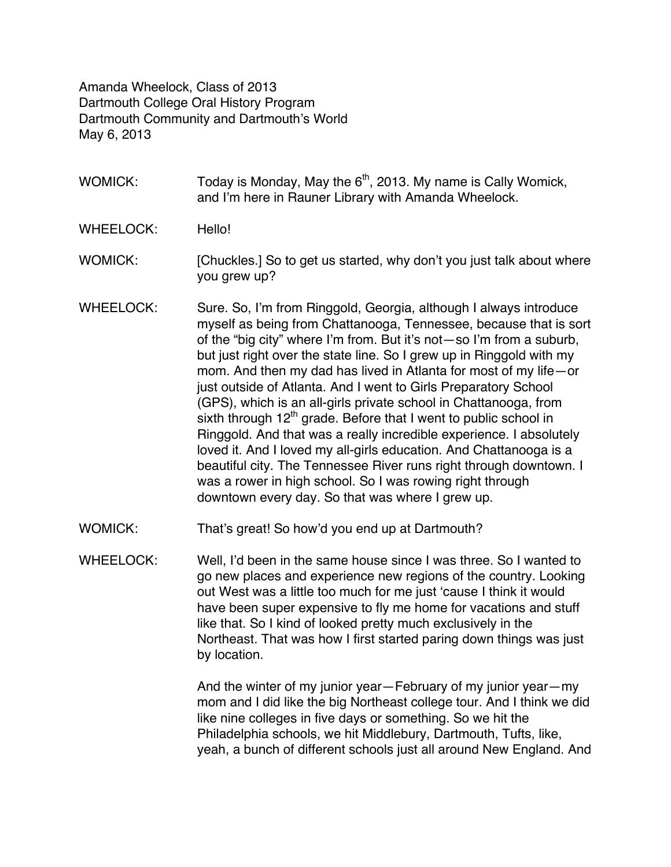Amanda Wheelock, Class of 2013 Dartmouth College Oral History Program Dartmouth Community and Dartmouth's World May 6, 2013

- WOMICK: Today is Monday, May the  $6<sup>th</sup>$ , 2013. My name is Cally Womick, and I'm here in Rauner Library with Amanda Wheelock.
- WHEELOCK: Hello!
- WOMICK: [Chuckles.] So to get us started, why don't you just talk about where you grew up?
- WHEELOCK: Sure. So, I'm from Ringgold, Georgia, although I always introduce myself as being from Chattanooga, Tennessee, because that is sort of the "big city" where I'm from. But it's not—so I'm from a suburb, but just right over the state line. So I grew up in Ringgold with my mom. And then my dad has lived in Atlanta for most of my life—or just outside of Atlanta. And I went to Girls Preparatory School (GPS), which is an all-girls private school in Chattanooga, from sixth through  $12<sup>th</sup>$  grade. Before that I went to public school in Ringgold. And that was a really incredible experience. I absolutely loved it. And I loved my all-girls education. And Chattanooga is a beautiful city. The Tennessee River runs right through downtown. I was a rower in high school. So I was rowing right through downtown every day. So that was where I grew up.
- WOMICK: That's great! So how'd you end up at Dartmouth?
- WHEELOCK: Well, I'd been in the same house since I was three. So I wanted to go new places and experience new regions of the country. Looking out West was a little too much for me just 'cause I think it would have been super expensive to fly me home for vacations and stuff like that. So I kind of looked pretty much exclusively in the Northeast. That was how I first started paring down things was just by location.

And the winter of my junior year—February of my junior year—my mom and I did like the big Northeast college tour. And I think we did like nine colleges in five days or something. So we hit the Philadelphia schools, we hit Middlebury, Dartmouth, Tufts, like, yeah, a bunch of different schools just all around New England. And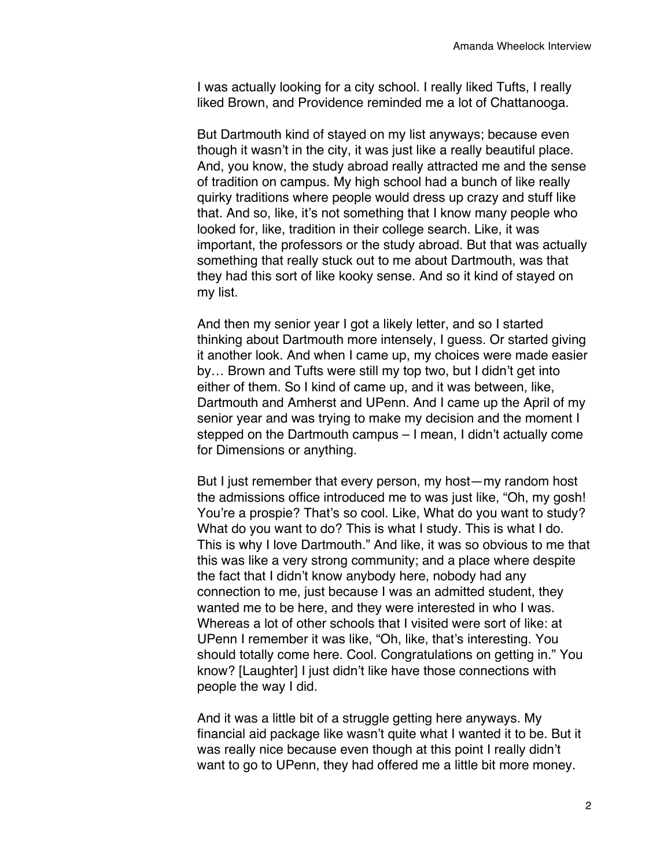I was actually looking for a city school. I really liked Tufts, I really liked Brown, and Providence reminded me a lot of Chattanooga.

But Dartmouth kind of stayed on my list anyways; because even though it wasn't in the city, it was just like a really beautiful place. And, you know, the study abroad really attracted me and the sense of tradition on campus. My high school had a bunch of like really quirky traditions where people would dress up crazy and stuff like that. And so, like, it's not something that I know many people who looked for, like, tradition in their college search. Like, it was important, the professors or the study abroad. But that was actually something that really stuck out to me about Dartmouth, was that they had this sort of like kooky sense. And so it kind of stayed on my list.

And then my senior year I got a likely letter, and so I started thinking about Dartmouth more intensely, I guess. Or started giving it another look. And when I came up, my choices were made easier by… Brown and Tufts were still my top two, but I didn't get into either of them. So I kind of came up, and it was between, like, Dartmouth and Amherst and UPenn. And I came up the April of my senior year and was trying to make my decision and the moment I stepped on the Dartmouth campus – I mean, I didn't actually come for Dimensions or anything.

But I just remember that every person, my host—my random host the admissions office introduced me to was just like, "Oh, my gosh! You're a prospie? That's so cool. Like, What do you want to study? What do you want to do? This is what I study. This is what I do. This is why I love Dartmouth." And like, it was so obvious to me that this was like a very strong community; and a place where despite the fact that I didn't know anybody here, nobody had any connection to me, just because I was an admitted student, they wanted me to be here, and they were interested in who I was. Whereas a lot of other schools that I visited were sort of like: at UPenn I remember it was like, "Oh, like, that's interesting. You should totally come here. Cool. Congratulations on getting in." You know? [Laughter] I just didn't like have those connections with people the way I did.

And it was a little bit of a struggle getting here anyways. My financial aid package like wasn't quite what I wanted it to be. But it was really nice because even though at this point I really didn't want to go to UPenn, they had offered me a little bit more money.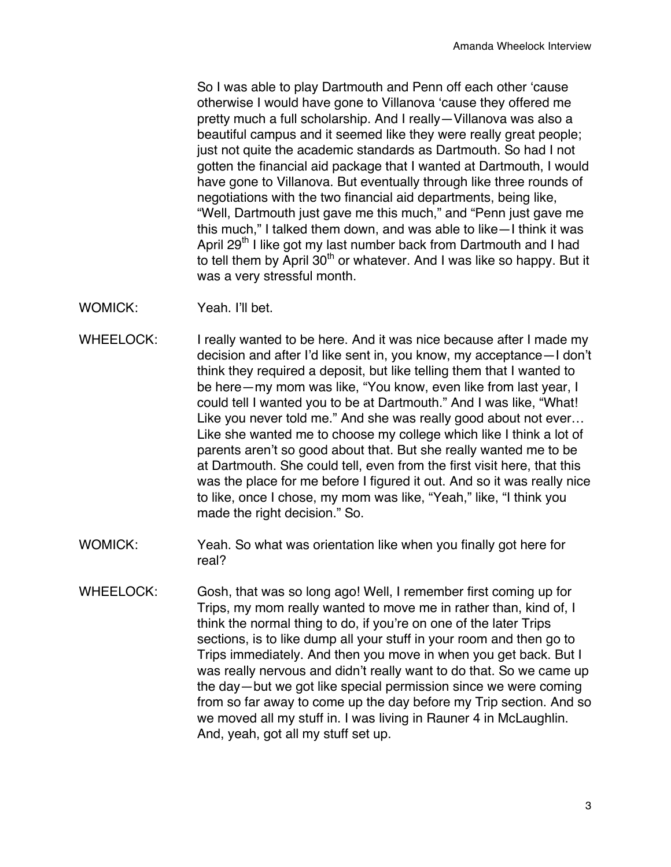So I was able to play Dartmouth and Penn off each other 'cause otherwise I would have gone to Villanova 'cause they offered me pretty much a full scholarship. And I really—Villanova was also a beautiful campus and it seemed like they were really great people; just not quite the academic standards as Dartmouth. So had I not gotten the financial aid package that I wanted at Dartmouth, I would have gone to Villanova. But eventually through like three rounds of negotiations with the two financial aid departments, being like, "Well, Dartmouth just gave me this much," and "Penn just gave me this much," I talked them down, and was able to like—I think it was April 29<sup>th</sup> I like got my last number back from Dartmouth and I had to tell them by April  $30<sup>th</sup>$  or whatever. And I was like so happy. But it was a very stressful month.

- WOMICK: Yeah. I'll bet.
- WHEELOCK: I really wanted to be here. And it was nice because after I made my decision and after I'd like sent in, you know, my acceptance—I don't think they required a deposit, but like telling them that I wanted to be here—my mom was like, "You know, even like from last year, I could tell I wanted you to be at Dartmouth." And I was like, "What! Like you never told me." And she was really good about not ever… Like she wanted me to choose my college which like I think a lot of parents aren't so good about that. But she really wanted me to be at Dartmouth. She could tell, even from the first visit here, that this was the place for me before I figured it out. And so it was really nice to like, once I chose, my mom was like, "Yeah," like, "I think you made the right decision." So.
- WOMICK: Yeah. So what was orientation like when you finally got here for real?
- WHEELOCK: Gosh, that was so long ago! Well, I remember first coming up for Trips, my mom really wanted to move me in rather than, kind of, I think the normal thing to do, if you're on one of the later Trips sections, is to like dump all your stuff in your room and then go to Trips immediately. And then you move in when you get back. But I was really nervous and didn't really want to do that. So we came up the day—but we got like special permission since we were coming from so far away to come up the day before my Trip section. And so we moved all my stuff in. I was living in Rauner 4 in McLaughlin. And, yeah, got all my stuff set up.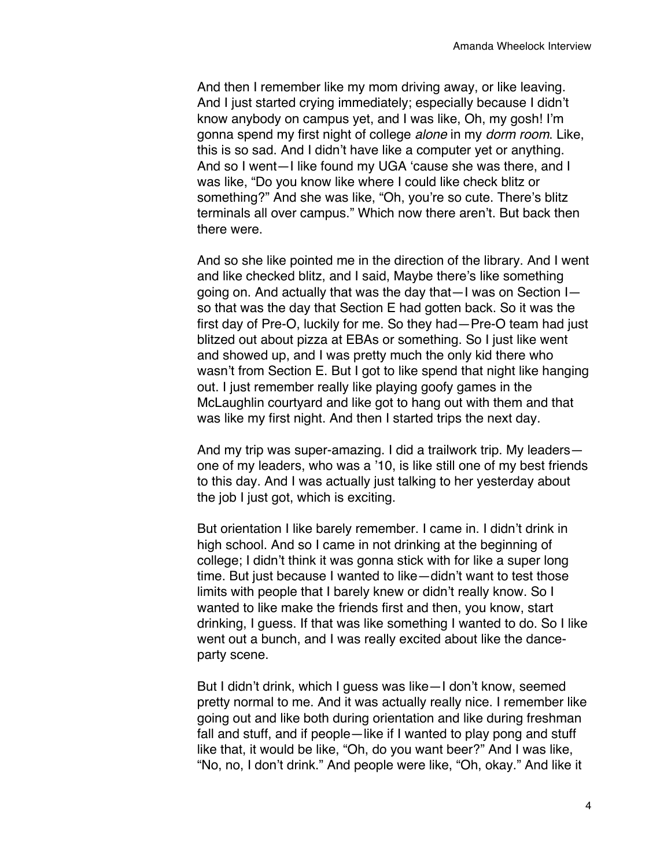And then I remember like my mom driving away, or like leaving. And I just started crying immediately; especially because I didn't know anybody on campus yet, and I was like, Oh, my gosh! I'm gonna spend my first night of college *alone* in my *dorm room*. Like, this is so sad. And I didn't have like a computer yet or anything. And so I went—I like found my UGA 'cause she was there, and I was like, "Do you know like where I could like check blitz or something?" And she was like, "Oh, you're so cute. There's blitz terminals all over campus." Which now there aren't. But back then there were.

And so she like pointed me in the direction of the library. And I went and like checked blitz, and I said, Maybe there's like something going on. And actually that was the day that—I was on Section I so that was the day that Section E had gotten back. So it was the first day of Pre-O, luckily for me. So they had—Pre-O team had just blitzed out about pizza at EBAs or something. So I just like went and showed up, and I was pretty much the only kid there who wasn't from Section E. But I got to like spend that night like hanging out. I just remember really like playing goofy games in the McLaughlin courtyard and like got to hang out with them and that was like my first night. And then I started trips the next day.

And my trip was super-amazing. I did a trailwork trip. My leaders one of my leaders, who was a '10, is like still one of my best friends to this day. And I was actually just talking to her yesterday about the job I just got, which is exciting.

But orientation I like barely remember. I came in. I didn't drink in high school. And so I came in not drinking at the beginning of college; I didn't think it was gonna stick with for like a super long time. But just because I wanted to like—didn't want to test those limits with people that I barely knew or didn't really know. So I wanted to like make the friends first and then, you know, start drinking, I guess. If that was like something I wanted to do. So I like went out a bunch, and I was really excited about like the danceparty scene.

But I didn't drink, which I guess was like—I don't know, seemed pretty normal to me. And it was actually really nice. I remember like going out and like both during orientation and like during freshman fall and stuff, and if people—like if I wanted to play pong and stuff like that, it would be like, "Oh, do you want beer?" And I was like, "No, no, I don't drink." And people were like, "Oh, okay." And like it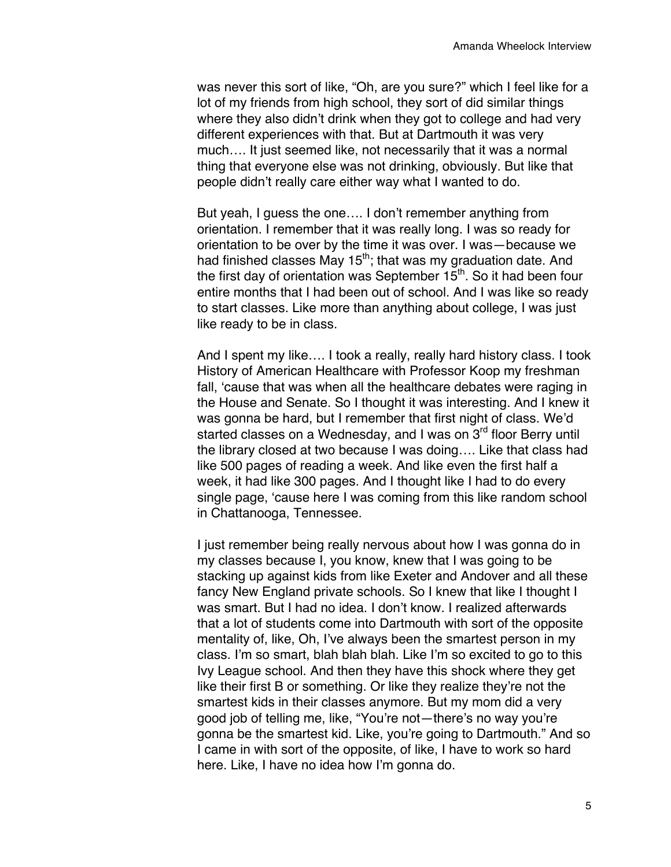was never this sort of like, "Oh, are you sure?" which I feel like for a lot of my friends from high school, they sort of did similar things where they also didn't drink when they got to college and had very different experiences with that. But at Dartmouth it was very much…. It just seemed like, not necessarily that it was a normal thing that everyone else was not drinking, obviously. But like that people didn't really care either way what I wanted to do.

But yeah, I guess the one…. I don't remember anything from orientation. I remember that it was really long. I was so ready for orientation to be over by the time it was over. I was—because we had finished classes May  $15<sup>th</sup>$ ; that was my graduation date. And the first day of orientation was September  $15<sup>th</sup>$ . So it had been four entire months that I had been out of school. And I was like so ready to start classes. Like more than anything about college, I was just like ready to be in class.

And I spent my like…. I took a really, really hard history class. I took History of American Healthcare with Professor Koop my freshman fall, 'cause that was when all the healthcare debates were raging in the House and Senate. So I thought it was interesting. And I knew it was gonna be hard, but I remember that first night of class. We'd started classes on a Wednesday, and I was on 3<sup>rd</sup> floor Berry until the library closed at two because I was doing…. Like that class had like 500 pages of reading a week. And like even the first half a week, it had like 300 pages. And I thought like I had to do every single page, 'cause here I was coming from this like random school in Chattanooga, Tennessee.

I just remember being really nervous about how I was gonna do in my classes because I, you know, knew that I was going to be stacking up against kids from like Exeter and Andover and all these fancy New England private schools. So I knew that like I thought I was smart. But I had no idea. I don't know. I realized afterwards that a lot of students come into Dartmouth with sort of the opposite mentality of, like, Oh, I've always been the smartest person in my class. I'm so smart, blah blah blah. Like I'm so excited to go to this Ivy League school. And then they have this shock where they get like their first B or something. Or like they realize they're not the smartest kids in their classes anymore. But my mom did a very good job of telling me, like, "You're not—there's no way you're gonna be the smartest kid. Like, you're going to Dartmouth." And so I came in with sort of the opposite, of like, I have to work so hard here. Like, I have no idea how I'm gonna do.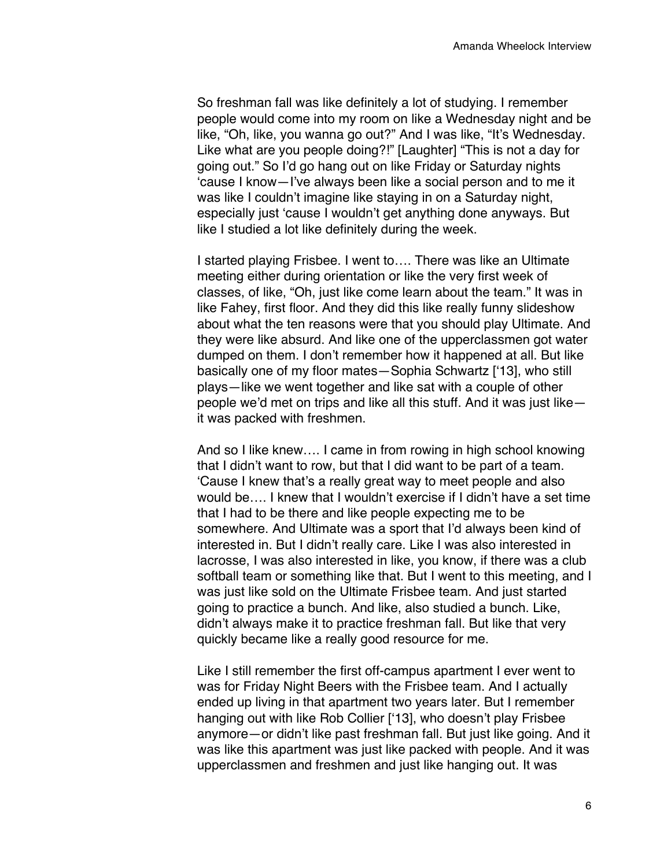So freshman fall was like definitely a lot of studying. I remember people would come into my room on like a Wednesday night and be like, "Oh, like, you wanna go out?" And I was like, "It's Wednesday. Like what are you people doing?!" [Laughter] "This is not a day for going out." So I'd go hang out on like Friday or Saturday nights 'cause I know—I've always been like a social person and to me it was like I couldn't imagine like staying in on a Saturday night, especially just 'cause I wouldn't get anything done anyways. But like I studied a lot like definitely during the week.

I started playing Frisbee. I went to…. There was like an Ultimate meeting either during orientation or like the very first week of classes, of like, "Oh, just like come learn about the team." It was in like Fahey, first floor. And they did this like really funny slideshow about what the ten reasons were that you should play Ultimate. And they were like absurd. And like one of the upperclassmen got water dumped on them. I don't remember how it happened at all. But like basically one of my floor mates—Sophia Schwartz ['13], who still plays—like we went together and like sat with a couple of other people we'd met on trips and like all this stuff. And it was just like it was packed with freshmen.

And so I like knew…. I came in from rowing in high school knowing that I didn't want to row, but that I did want to be part of a team. 'Cause I knew that's a really great way to meet people and also would be…. I knew that I wouldn't exercise if I didn't have a set time that I had to be there and like people expecting me to be somewhere. And Ultimate was a sport that I'd always been kind of interested in. But I didn't really care. Like I was also interested in lacrosse, I was also interested in like, you know, if there was a club softball team or something like that. But I went to this meeting, and I was just like sold on the Ultimate Frisbee team. And just started going to practice a bunch. And like, also studied a bunch. Like, didn't always make it to practice freshman fall. But like that very quickly became like a really good resource for me.

Like I still remember the first off-campus apartment I ever went to was for Friday Night Beers with the Frisbee team. And I actually ended up living in that apartment two years later. But I remember hanging out with like Rob Collier ['13], who doesn't play Frisbee anymore—or didn't like past freshman fall. But just like going. And it was like this apartment was just like packed with people. And it was upperclassmen and freshmen and just like hanging out. It was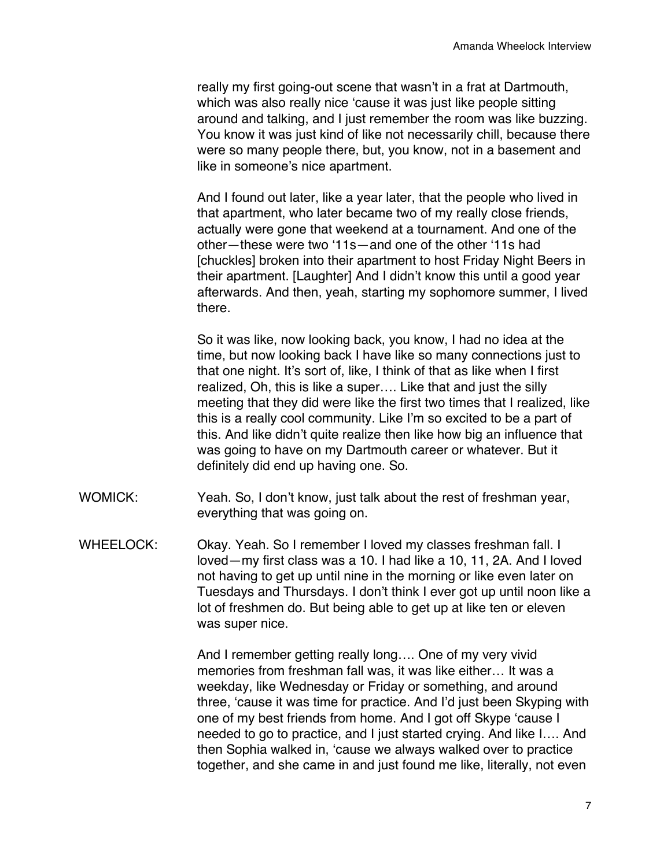really my first going-out scene that wasn't in a frat at Dartmouth, which was also really nice 'cause it was just like people sitting around and talking, and I just remember the room was like buzzing. You know it was just kind of like not necessarily chill, because there were so many people there, but, you know, not in a basement and like in someone's nice apartment.

And I found out later, like a year later, that the people who lived in that apartment, who later became two of my really close friends, actually were gone that weekend at a tournament. And one of the other—these were two '11s—and one of the other '11s had [chuckles] broken into their apartment to host Friday Night Beers in their apartment. [Laughter] And I didn't know this until a good year afterwards. And then, yeah, starting my sophomore summer, I lived there.

So it was like, now looking back, you know, I had no idea at the time, but now looking back I have like so many connections just to that one night. It's sort of, like, I think of that as like when I first realized, Oh, this is like a super…. Like that and just the silly meeting that they did were like the first two times that I realized, like this is a really cool community. Like I'm so excited to be a part of this. And like didn't quite realize then like how big an influence that was going to have on my Dartmouth career or whatever. But it definitely did end up having one. So.

- WOMICK: Yeah. So, I don't know, just talk about the rest of freshman year, everything that was going on.
- WHEELOCK: Okay. Yeah. So I remember I loved my classes freshman fall. I loved—my first class was a 10. I had like a 10, 11, 2A. And I loved not having to get up until nine in the morning or like even later on Tuesdays and Thursdays. I don't think I ever got up until noon like a lot of freshmen do. But being able to get up at like ten or eleven was super nice.

And I remember getting really long…. One of my very vivid memories from freshman fall was, it was like either… It was a weekday, like Wednesday or Friday or something, and around three, 'cause it was time for practice. And I'd just been Skyping with one of my best friends from home. And I got off Skype 'cause I needed to go to practice, and I just started crying. And like I…. And then Sophia walked in, 'cause we always walked over to practice together, and she came in and just found me like, literally, not even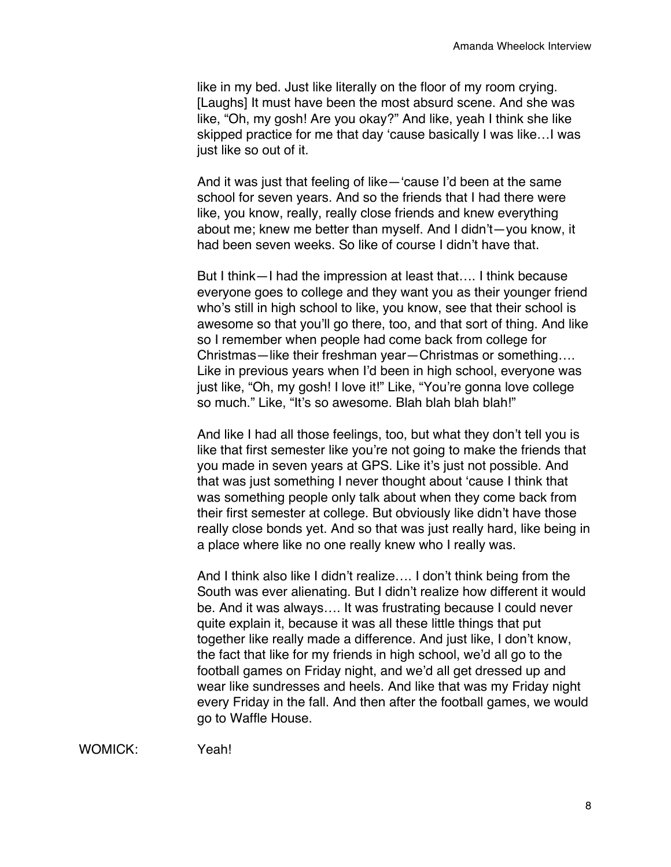like in my bed. Just like literally on the floor of my room crying. [Laughs] It must have been the most absurd scene. And she was like, "Oh, my gosh! Are you okay?" And like, yeah I think she like skipped practice for me that day 'cause basically I was like…I was just like so out of it.

And it was just that feeling of like—'cause I'd been at the same school for seven years. And so the friends that I had there were like, you know, really, really close friends and knew everything about me; knew me better than myself. And I didn't—you know, it had been seven weeks. So like of course I didn't have that.

But I think—I had the impression at least that…. I think because everyone goes to college and they want you as their younger friend who's still in high school to like, you know, see that their school is awesome so that you'll go there, too, and that sort of thing. And like so I remember when people had come back from college for Christmas—like their freshman year—Christmas or something…. Like in previous years when I'd been in high school, everyone was just like, "Oh, my gosh! I love it!" Like, "You're gonna love college so much." Like, "It's so awesome. Blah blah blah blah!"

And like I had all those feelings, too, but what they don't tell you is like that first semester like you're not going to make the friends that you made in seven years at GPS. Like it's just not possible. And that was just something I never thought about 'cause I think that was something people only talk about when they come back from their first semester at college. But obviously like didn't have those really close bonds yet. And so that was just really hard, like being in a place where like no one really knew who I really was.

And I think also like I didn't realize…. I don't think being from the South was ever alienating. But I didn't realize how different it would be. And it was always…. It was frustrating because I could never quite explain it, because it was all these little things that put together like really made a difference. And just like, I don't know, the fact that like for my friends in high school, we'd all go to the football games on Friday night, and we'd all get dressed up and wear like sundresses and heels. And like that was my Friday night every Friday in the fall. And then after the football games, we would go to Waffle House.

WOMICK: Yeah!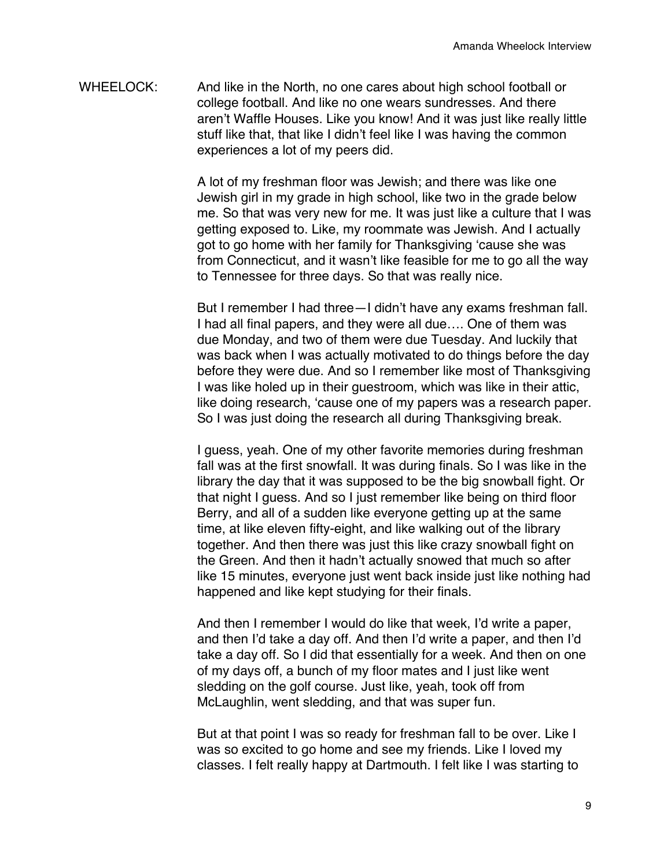WHEELOCK: And like in the North, no one cares about high school football or college football. And like no one wears sundresses. And there aren't Waffle Houses. Like you know! And it was just like really little stuff like that, that like I didn't feel like I was having the common experiences a lot of my peers did.

> A lot of my freshman floor was Jewish; and there was like one Jewish girl in my grade in high school, like two in the grade below me. So that was very new for me. It was just like a culture that I was getting exposed to. Like, my roommate was Jewish. And I actually got to go home with her family for Thanksgiving 'cause she was from Connecticut, and it wasn't like feasible for me to go all the way to Tennessee for three days. So that was really nice.

> But I remember I had three—I didn't have any exams freshman fall. I had all final papers, and they were all due…. One of them was due Monday, and two of them were due Tuesday. And luckily that was back when I was actually motivated to do things before the day before they were due. And so I remember like most of Thanksgiving I was like holed up in their guestroom, which was like in their attic, like doing research, 'cause one of my papers was a research paper. So I was just doing the research all during Thanksgiving break.

> I guess, yeah. One of my other favorite memories during freshman fall was at the first snowfall. It was during finals. So I was like in the library the day that it was supposed to be the big snowball fight. Or that night I guess. And so I just remember like being on third floor Berry, and all of a sudden like everyone getting up at the same time, at like eleven fifty-eight, and like walking out of the library together. And then there was just this like crazy snowball fight on the Green. And then it hadn't actually snowed that much so after like 15 minutes, everyone just went back inside just like nothing had happened and like kept studying for their finals.

And then I remember I would do like that week, I'd write a paper, and then I'd take a day off. And then I'd write a paper, and then I'd take a day off. So I did that essentially for a week. And then on one of my days off, a bunch of my floor mates and I just like went sledding on the golf course. Just like, yeah, took off from McLaughlin, went sledding, and that was super fun.

But at that point I was so ready for freshman fall to be over. Like I was so excited to go home and see my friends. Like I loved my classes. I felt really happy at Dartmouth. I felt like I was starting to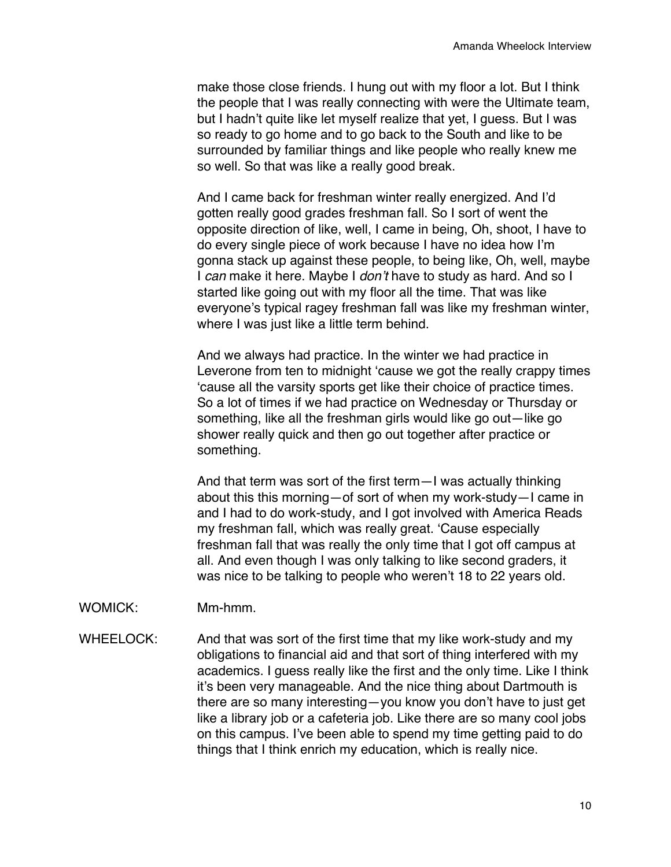make those close friends. I hung out with my floor a lot. But I think the people that I was really connecting with were the Ultimate team, but I hadn't quite like let myself realize that yet, I guess. But I was so ready to go home and to go back to the South and like to be surrounded by familiar things and like people who really knew me so well. So that was like a really good break.

And I came back for freshman winter really energized. And I'd gotten really good grades freshman fall. So I sort of went the opposite direction of like, well, I came in being, Oh, shoot, I have to do every single piece of work because I have no idea how I'm gonna stack up against these people, to being like, Oh, well, maybe I *can* make it here. Maybe I *don't* have to study as hard. And so I started like going out with my floor all the time. That was like everyone's typical ragey freshman fall was like my freshman winter, where I was just like a little term behind.

And we always had practice. In the winter we had practice in Leverone from ten to midnight 'cause we got the really crappy times 'cause all the varsity sports get like their choice of practice times. So a lot of times if we had practice on Wednesday or Thursday or something, like all the freshman girls would like go out—like go shower really quick and then go out together after practice or something.

And that term was sort of the first term—I was actually thinking about this this morning—of sort of when my work-study—I came in and I had to do work-study, and I got involved with America Reads my freshman fall, which was really great. 'Cause especially freshman fall that was really the only time that I got off campus at all. And even though I was only talking to like second graders, it was nice to be talking to people who weren't 18 to 22 years old.

- WOMICK: Mm-hmm.
- WHEELOCK: And that was sort of the first time that my like work-study and my obligations to financial aid and that sort of thing interfered with my academics. I guess really like the first and the only time. Like I think it's been very manageable. And the nice thing about Dartmouth is there are so many interesting—you know you don't have to just get like a library job or a cafeteria job. Like there are so many cool jobs on this campus. I've been able to spend my time getting paid to do things that I think enrich my education, which is really nice.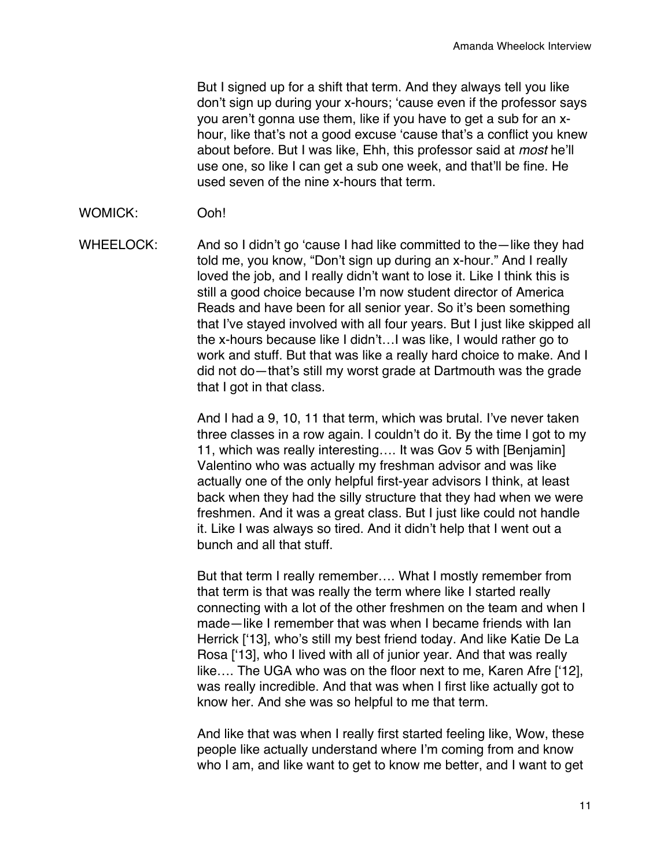But I signed up for a shift that term. And they always tell you like don't sign up during your x-hours; 'cause even if the professor says you aren't gonna use them, like if you have to get a sub for an xhour, like that's not a good excuse 'cause that's a conflict you knew about before. But I was like, Ehh, this professor said at *most* he'll use one, so like I can get a sub one week, and that'll be fine. He used seven of the nine x-hours that term.

## WOMICK: Ooh!

WHEELOCK: And so I didn't go 'cause I had like committed to the —like they had told me, you know, "Don't sign up during an x-hour." And I really loved the job, and I really didn't want to lose it. Like I think this is still a good choice because I'm now student director of America Reads and have been for all senior year. So it's been something that I've stayed involved with all four years. But I just like skipped all the x-hours because like I didn't…I was like, I would rather go to work and stuff. But that was like a really hard choice to make. And I did not do—that's still my worst grade at Dartmouth was the grade that I got in that class.

> And I had a 9, 10, 11 that term, which was brutal. I've never taken three classes in a row again. I couldn't do it. By the time I got to my 11, which was really interesting…. It was Gov 5 with [Benjamin] Valentino who was actually my freshman advisor and was like actually one of the only helpful first-year advisors I think, at least back when they had the silly structure that they had when we were freshmen. And it was a great class. But I just like could not handle it. Like I was always so tired. And it didn't help that I went out a bunch and all that stuff.

> But that term I really remember…. What I mostly remember from that term is that was really the term where like I started really connecting with a lot of the other freshmen on the team and when I made—like I remember that was when I became friends with Ian Herrick ['13], who's still my best friend today. And like Katie De La Rosa ['13], who I lived with all of junior year. And that was really like…. The UGA who was on the floor next to me, Karen Afre ['12], was really incredible. And that was when I first like actually got to know her. And she was so helpful to me that term.

> And like that was when I really first started feeling like, Wow, these people like actually understand where I'm coming from and know who I am, and like want to get to know me better, and I want to get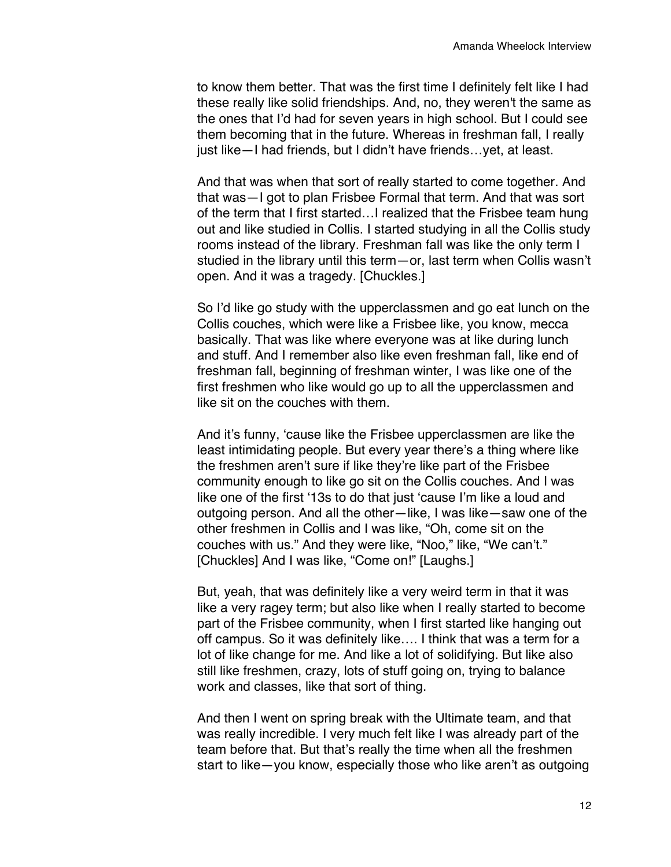to know them better. That was the first time I definitely felt like I had these really like solid friendships. And, no, they weren't the same as the ones that I'd had for seven years in high school. But I could see them becoming that in the future. Whereas in freshman fall, I really just like—I had friends, but I didn't have friends…yet, at least.

And that was when that sort of really started to come together. And that was—I got to plan Frisbee Formal that term. And that was sort of the term that I first started…I realized that the Frisbee team hung out and like studied in Collis. I started studying in all the Collis study rooms instead of the library. Freshman fall was like the only term I studied in the library until this term—or, last term when Collis wasn't open. And it was a tragedy. [Chuckles.]

So I'd like go study with the upperclassmen and go eat lunch on the Collis couches, which were like a Frisbee like, you know, mecca basically. That was like where everyone was at like during lunch and stuff. And I remember also like even freshman fall, like end of freshman fall, beginning of freshman winter, I was like one of the first freshmen who like would go up to all the upperclassmen and like sit on the couches with them.

And it's funny, 'cause like the Frisbee upperclassmen are like the least intimidating people. But every year there's a thing where like the freshmen aren't sure if like they're like part of the Frisbee community enough to like go sit on the Collis couches. And I was like one of the first '13s to do that just 'cause I'm like a loud and outgoing person. And all the other—like, I was like—saw one of the other freshmen in Collis and I was like, "Oh, come sit on the couches with us." And they were like, "Noo," like, "We can't." [Chuckles] And I was like, "Come on!" [Laughs.]

But, yeah, that was definitely like a very weird term in that it was like a very ragey term; but also like when I really started to become part of the Frisbee community, when I first started like hanging out off campus. So it was definitely like…. I think that was a term for a lot of like change for me. And like a lot of solidifying. But like also still like freshmen, crazy, lots of stuff going on, trying to balance work and classes, like that sort of thing.

And then I went on spring break with the Ultimate team, and that was really incredible. I very much felt like I was already part of the team before that. But that's really the time when all the freshmen start to like—you know, especially those who like aren't as outgoing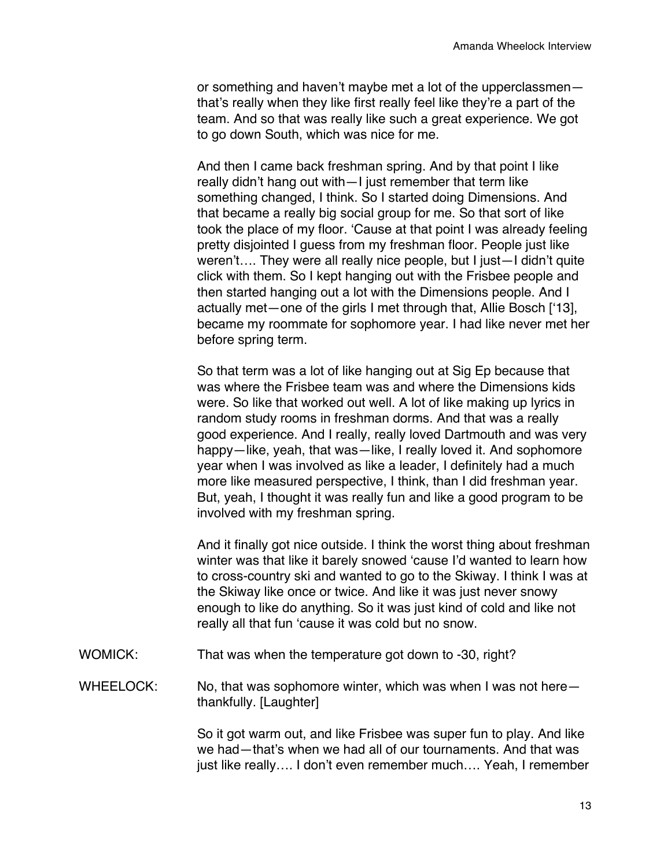or something and haven't maybe met a lot of the upperclassmen that's really when they like first really feel like they're a part of the team. And so that was really like such a great experience. We got to go down South, which was nice for me.

And then I came back freshman spring. And by that point I like really didn't hang out with—I just remember that term like something changed, I think. So I started doing Dimensions. And that became a really big social group for me. So that sort of like took the place of my floor. 'Cause at that point I was already feeling pretty disjointed I guess from my freshman floor. People just like weren't…. They were all really nice people, but I just—I didn't quite click with them. So I kept hanging out with the Frisbee people and then started hanging out a lot with the Dimensions people. And I actually met—one of the girls I met through that, Allie Bosch ['13], became my roommate for sophomore year. I had like never met her before spring term.

So that term was a lot of like hanging out at Sig Ep because that was where the Frisbee team was and where the Dimensions kids were. So like that worked out well. A lot of like making up lyrics in random study rooms in freshman dorms. And that was a really good experience. And I really, really loved Dartmouth and was very happy—like, yeah, that was—like, I really loved it. And sophomore year when I was involved as like a leader, I definitely had a much more like measured perspective, I think, than I did freshman year. But, yeah, I thought it was really fun and like a good program to be involved with my freshman spring.

And it finally got nice outside. I think the worst thing about freshman winter was that like it barely snowed 'cause I'd wanted to learn how to cross-country ski and wanted to go to the Skiway. I think I was at the Skiway like once or twice. And like it was just never snowy enough to like do anything. So it was just kind of cold and like not really all that fun 'cause it was cold but no snow.

- WOMICK: That was when the temperature got down to -30, right?
- WHEELOCK: No, that was sophomore winter, which was when I was not herethankfully. [Laughter]

So it got warm out, and like Frisbee was super fun to play. And like we had—that's when we had all of our tournaments. And that was just like really…. I don't even remember much…. Yeah, I remember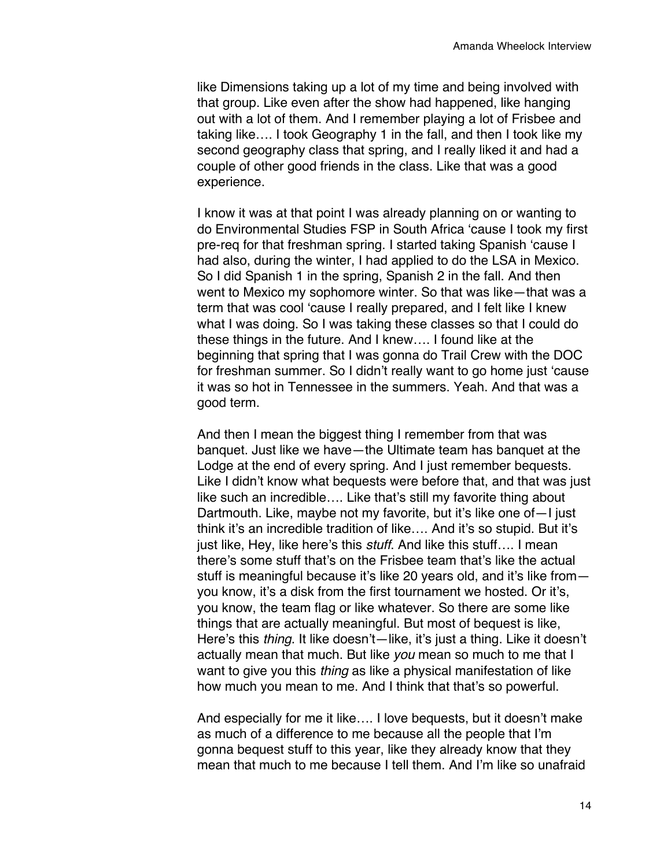like Dimensions taking up a lot of my time and being involved with that group. Like even after the show had happened, like hanging out with a lot of them. And I remember playing a lot of Frisbee and taking like…. I took Geography 1 in the fall, and then I took like my second geography class that spring, and I really liked it and had a couple of other good friends in the class. Like that was a good experience.

I know it was at that point I was already planning on or wanting to do Environmental Studies FSP in South Africa 'cause I took my first pre-req for that freshman spring. I started taking Spanish 'cause I had also, during the winter, I had applied to do the LSA in Mexico. So I did Spanish 1 in the spring, Spanish 2 in the fall. And then went to Mexico my sophomore winter. So that was like—that was a term that was cool 'cause I really prepared, and I felt like I knew what I was doing. So I was taking these classes so that I could do these things in the future. And I knew…. I found like at the beginning that spring that I was gonna do Trail Crew with the DOC for freshman summer. So I didn't really want to go home just 'cause it was so hot in Tennessee in the summers. Yeah. And that was a good term.

And then I mean the biggest thing I remember from that was banquet. Just like we have—the Ultimate team has banquet at the Lodge at the end of every spring. And I just remember bequests. Like I didn't know what bequests were before that, and that was just like such an incredible…. Like that's still my favorite thing about Dartmouth. Like, maybe not my favorite, but it's like one of—I just think it's an incredible tradition of like…. And it's so stupid. But it's just like, Hey, like here's this *stuff*. And like this stuff…. I mean there's some stuff that's on the Frisbee team that's like the actual stuff is meaningful because it's like 20 years old, and it's like from you know, it's a disk from the first tournament we hosted. Or it's, you know, the team flag or like whatever. So there are some like things that are actually meaningful. But most of bequest is like, Here's this *thing*. It like doesn't—like, it's just a thing. Like it doesn't actually mean that much. But like *you* mean so much to me that I want to give you this *thing* as like a physical manifestation of like how much you mean to me. And I think that that's so powerful.

And especially for me it like…. I love bequests, but it doesn't make as much of a difference to me because all the people that I'm gonna bequest stuff to this year, like they already know that they mean that much to me because I tell them. And I'm like so unafraid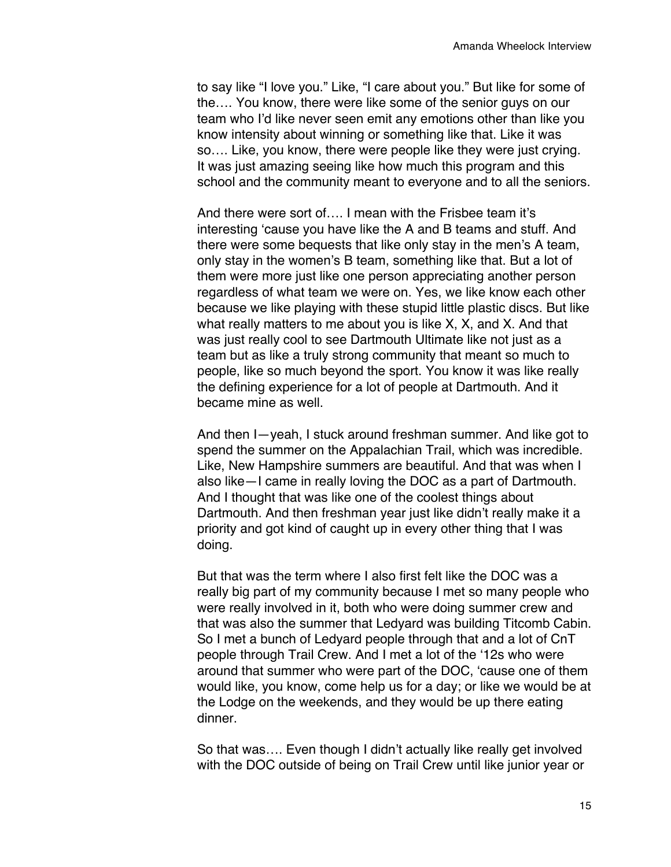to say like "I love you." Like, "I care about you." But like for some of the…. You know, there were like some of the senior guys on our team who I'd like never seen emit any emotions other than like you know intensity about winning or something like that. Like it was so…. Like, you know, there were people like they were just crying. It was just amazing seeing like how much this program and this school and the community meant to everyone and to all the seniors.

And there were sort of…. I mean with the Frisbee team it's interesting 'cause you have like the A and B teams and stuff. And there were some bequests that like only stay in the men's A team, only stay in the women's B team, something like that. But a lot of them were more just like one person appreciating another person regardless of what team we were on. Yes, we like know each other because we like playing with these stupid little plastic discs. But like what really matters to me about you is like X, X, and X. And that was just really cool to see Dartmouth Ultimate like not just as a team but as like a truly strong community that meant so much to people, like so much beyond the sport. You know it was like really the defining experience for a lot of people at Dartmouth. And it became mine as well.

And then I—yeah, I stuck around freshman summer. And like got to spend the summer on the Appalachian Trail, which was incredible. Like, New Hampshire summers are beautiful. And that was when I also like—I came in really loving the DOC as a part of Dartmouth. And I thought that was like one of the coolest things about Dartmouth. And then freshman year just like didn't really make it a priority and got kind of caught up in every other thing that I was doing.

But that was the term where I also first felt like the DOC was a really big part of my community because I met so many people who were really involved in it, both who were doing summer crew and that was also the summer that Ledyard was building Titcomb Cabin. So I met a bunch of Ledyard people through that and a lot of CnT people through Trail Crew. And I met a lot of the '12s who were around that summer who were part of the DOC, 'cause one of them would like, you know, come help us for a day; or like we would be at the Lodge on the weekends, and they would be up there eating dinner.

So that was…. Even though I didn't actually like really get involved with the DOC outside of being on Trail Crew until like junior year or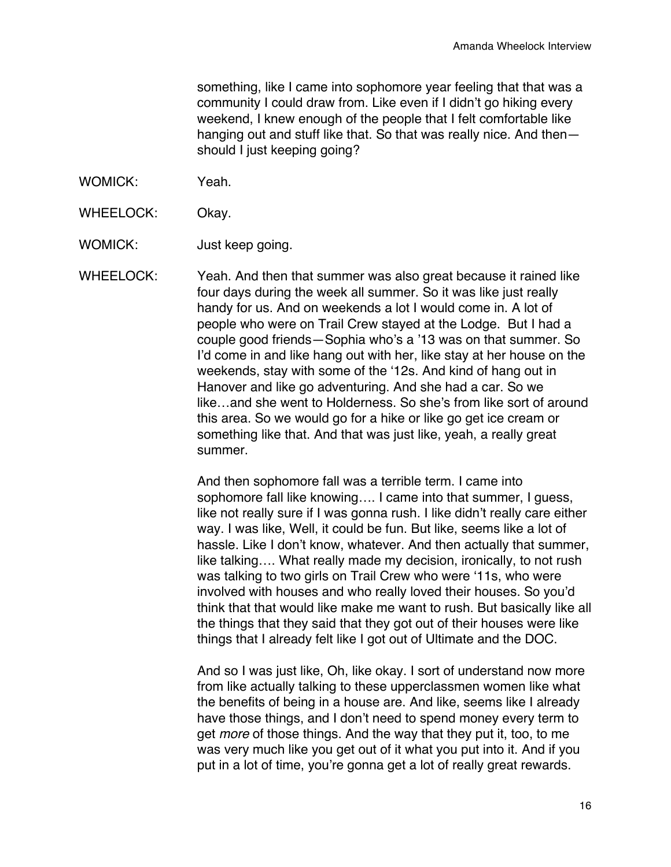something, like I came into sophomore year feeling that that was a community I could draw from. Like even if I didn't go hiking every weekend, I knew enough of the people that I felt comfortable like hanging out and stuff like that. So that was really nice. And then should I just keeping going?

- WOMICK: Yeah.
- WHEELOCK: Okay.

WOMICK: Just keep going.

WHEELOCK: Yeah. And then that summer was also great because it rained like four days during the week all summer. So it was like just really handy for us. And on weekends a lot I would come in. A lot of people who were on Trail Crew stayed at the Lodge. But I had a couple good friends—Sophia who's a '13 was on that summer. So I'd come in and like hang out with her, like stay at her house on the weekends, stay with some of the '12s. And kind of hang out in Hanover and like go adventuring. And she had a car. So we like…and she went to Holderness. So she's from like sort of around this area. So we would go for a hike or like go get ice cream or something like that. And that was just like, yeah, a really great summer.

> And then sophomore fall was a terrible term. I came into sophomore fall like knowing.... I came into that summer, I quess, like not really sure if I was gonna rush. I like didn't really care either way. I was like, Well, it could be fun. But like, seems like a lot of hassle. Like I don't know, whatever. And then actually that summer, like talking…. What really made my decision, ironically, to not rush was talking to two girls on Trail Crew who were '11s, who were involved with houses and who really loved their houses. So you'd think that that would like make me want to rush. But basically like all the things that they said that they got out of their houses were like things that I already felt like I got out of Ultimate and the DOC.

And so I was just like, Oh, like okay. I sort of understand now more from like actually talking to these upperclassmen women like what the benefits of being in a house are. And like, seems like I already have those things, and I don't need to spend money every term to get *more* of those things. And the way that they put it, too, to me was very much like you get out of it what you put into it. And if you put in a lot of time, you're gonna get a lot of really great rewards.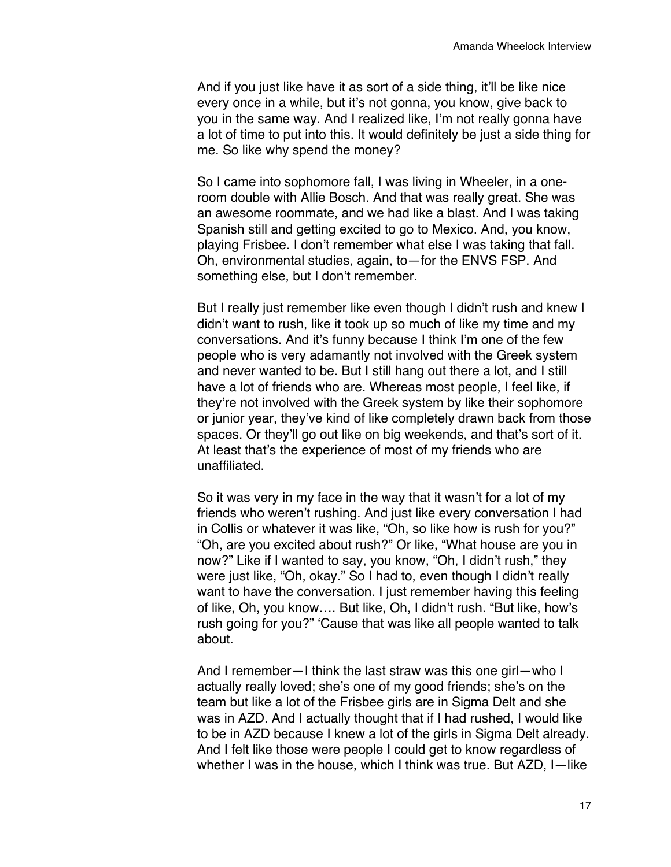And if you just like have it as sort of a side thing, it'll be like nice every once in a while, but it's not gonna, you know, give back to you in the same way. And I realized like, I'm not really gonna have a lot of time to put into this. It would definitely be just a side thing for me. So like why spend the money?

So I came into sophomore fall, I was living in Wheeler, in a oneroom double with Allie Bosch. And that was really great. She was an awesome roommate, and we had like a blast. And I was taking Spanish still and getting excited to go to Mexico. And, you know, playing Frisbee. I don't remember what else I was taking that fall. Oh, environmental studies, again, to—for the ENVS FSP. And something else, but I don't remember.

But I really just remember like even though I didn't rush and knew I didn't want to rush, like it took up so much of like my time and my conversations. And it's funny because I think I'm one of the few people who is very adamantly not involved with the Greek system and never wanted to be. But I still hang out there a lot, and I still have a lot of friends who are. Whereas most people, I feel like, if they're not involved with the Greek system by like their sophomore or junior year, they've kind of like completely drawn back from those spaces. Or they'll go out like on big weekends, and that's sort of it. At least that's the experience of most of my friends who are unaffiliated.

So it was very in my face in the way that it wasn't for a lot of my friends who weren't rushing. And just like every conversation I had in Collis or whatever it was like, "Oh, so like how is rush for you?" "Oh, are you excited about rush?" Or like, "What house are you in now?" Like if I wanted to say, you know, "Oh, I didn't rush," they were just like, "Oh, okay." So I had to, even though I didn't really want to have the conversation. I just remember having this feeling of like, Oh, you know…. But like, Oh, I didn't rush. "But like, how's rush going for you?" 'Cause that was like all people wanted to talk about.

And I remember—I think the last straw was this one girl—who I actually really loved; she's one of my good friends; she's on the team but like a lot of the Frisbee girls are in Sigma Delt and she was in AZD. And I actually thought that if I had rushed, I would like to be in AZD because I knew a lot of the girls in Sigma Delt already. And I felt like those were people I could get to know regardless of whether I was in the house, which I think was true. But AZD, I—like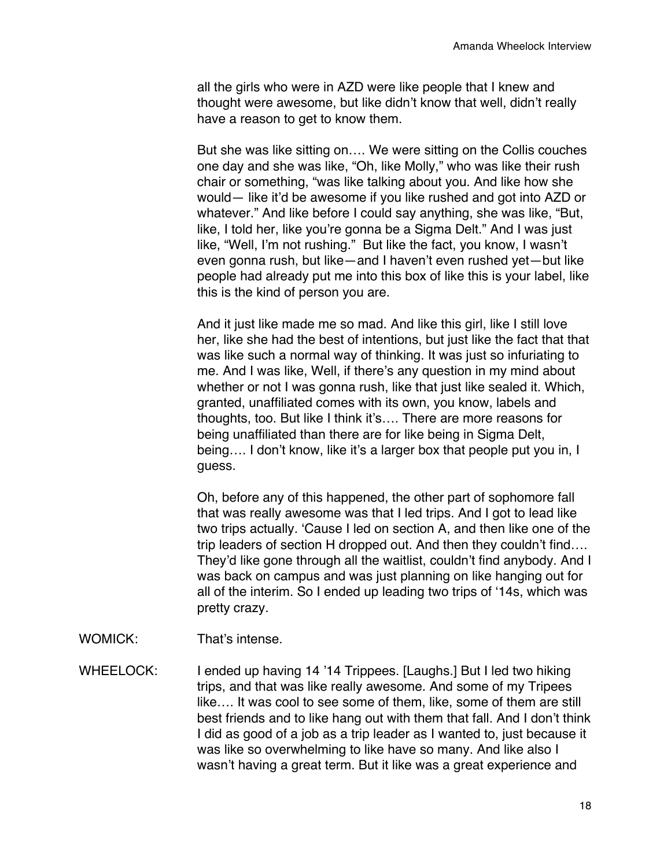all the girls who were in AZD were like people that I knew and thought were awesome, but like didn't know that well, didn't really have a reason to get to know them.

But she was like sitting on…. We were sitting on the Collis couches one day and she was like, "Oh, like Molly," who was like their rush chair or something, "was like talking about you. And like how she would— like it'd be awesome if you like rushed and got into AZD or whatever." And like before I could say anything, she was like, "But, like, I told her, like you're gonna be a Sigma Delt." And I was just like, "Well, I'm not rushing." But like the fact, you know, I wasn't even gonna rush, but like—and I haven't even rushed yet—but like people had already put me into this box of like this is your label, like this is the kind of person you are.

And it just like made me so mad. And like this girl, like I still love her, like she had the best of intentions, but just like the fact that that was like such a normal way of thinking. It was just so infuriating to me. And I was like, Well, if there's any question in my mind about whether or not I was gonna rush, like that just like sealed it. Which, granted, unaffiliated comes with its own, you know, labels and thoughts, too. But like I think it's…. There are more reasons for being unaffiliated than there are for like being in Sigma Delt, being…. I don't know, like it's a larger box that people put you in, I guess.

Oh, before any of this happened, the other part of sophomore fall that was really awesome was that I led trips. And I got to lead like two trips actually. 'Cause I led on section A, and then like one of the trip leaders of section H dropped out. And then they couldn't find…. They'd like gone through all the waitlist, couldn't find anybody. And I was back on campus and was just planning on like hanging out for all of the interim. So I ended up leading two trips of '14s, which was pretty crazy.

WOMICK: That's intense.

WHEELOCK: I ended up having 14 '14 Trippees. [Laughs.] But I led two hiking trips, and that was like really awesome. And some of my Tripees like…. It was cool to see some of them, like, some of them are still best friends and to like hang out with them that fall. And I don't think I did as good of a job as a trip leader as I wanted to, just because it was like so overwhelming to like have so many. And like also I wasn't having a great term. But it like was a great experience and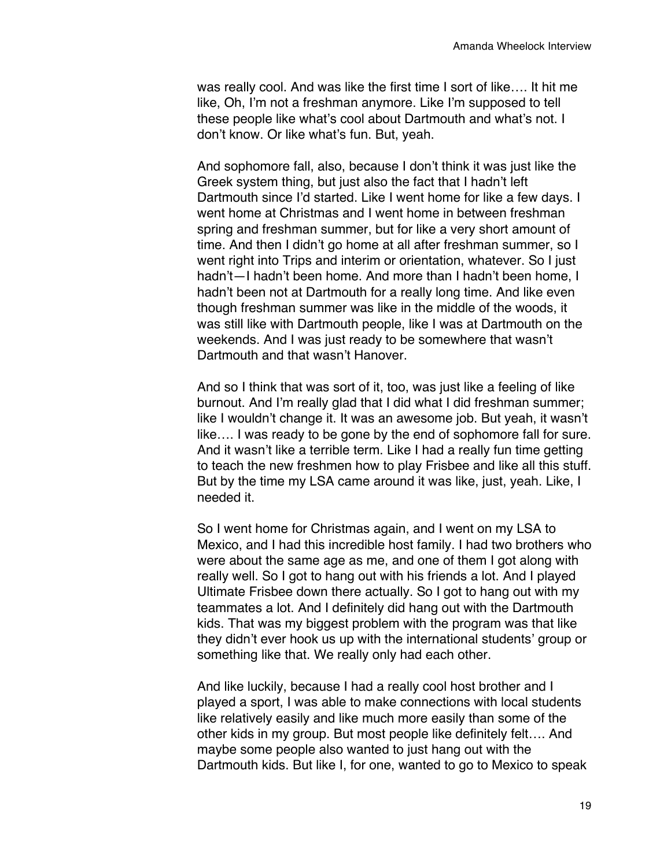was really cool. And was like the first time I sort of like…. It hit me like, Oh, I'm not a freshman anymore. Like I'm supposed to tell these people like what's cool about Dartmouth and what's not. I don't know. Or like what's fun. But, yeah.

And sophomore fall, also, because I don't think it was just like the Greek system thing, but just also the fact that I hadn't left Dartmouth since I'd started. Like I went home for like a few days. I went home at Christmas and I went home in between freshman spring and freshman summer, but for like a very short amount of time. And then I didn't go home at all after freshman summer, so I went right into Trips and interim or orientation, whatever. So I just hadn't—I hadn't been home. And more than I hadn't been home, I hadn't been not at Dartmouth for a really long time. And like even though freshman summer was like in the middle of the woods, it was still like with Dartmouth people, like I was at Dartmouth on the weekends. And I was just ready to be somewhere that wasn't Dartmouth and that wasn't Hanover.

And so I think that was sort of it, too, was just like a feeling of like burnout. And I'm really glad that I did what I did freshman summer; like I wouldn't change it. It was an awesome job. But yeah, it wasn't like…. I was ready to be gone by the end of sophomore fall for sure. And it wasn't like a terrible term. Like I had a really fun time getting to teach the new freshmen how to play Frisbee and like all this stuff. But by the time my LSA came around it was like, just, yeah. Like, I needed it.

So I went home for Christmas again, and I went on my LSA to Mexico, and I had this incredible host family. I had two brothers who were about the same age as me, and one of them I got along with really well. So I got to hang out with his friends a lot. And I played Ultimate Frisbee down there actually. So I got to hang out with my teammates a lot. And I definitely did hang out with the Dartmouth kids. That was my biggest problem with the program was that like they didn't ever hook us up with the international students' group or something like that. We really only had each other.

And like luckily, because I had a really cool host brother and I played a sport, I was able to make connections with local students like relatively easily and like much more easily than some of the other kids in my group. But most people like definitely felt…. And maybe some people also wanted to just hang out with the Dartmouth kids. But like I, for one, wanted to go to Mexico to speak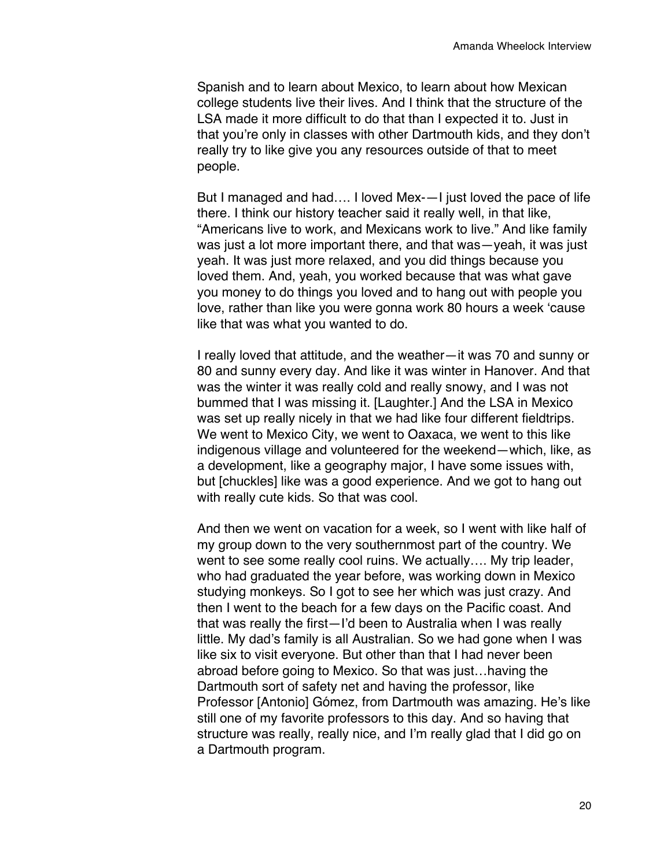Spanish and to learn about Mexico, to learn about how Mexican college students live their lives. And I think that the structure of the LSA made it more difficult to do that than I expected it to. Just in that you're only in classes with other Dartmouth kids, and they don't really try to like give you any resources outside of that to meet people.

But I managed and had…. I loved Mex-—I just loved the pace of life there. I think our history teacher said it really well, in that like, "Americans live to work, and Mexicans work to live." And like family was just a lot more important there, and that was—yeah, it was just yeah. It was just more relaxed, and you did things because you loved them. And, yeah, you worked because that was what gave you money to do things you loved and to hang out with people you love, rather than like you were gonna work 80 hours a week 'cause like that was what you wanted to do.

I really loved that attitude, and the weather—it was 70 and sunny or 80 and sunny every day. And like it was winter in Hanover. And that was the winter it was really cold and really snowy, and I was not bummed that I was missing it. [Laughter.] And the LSA in Mexico was set up really nicely in that we had like four different fieldtrips. We went to Mexico City, we went to Oaxaca, we went to this like indigenous village and volunteered for the weekend—which, like, as a development, like a geography major, I have some issues with, but [chuckles] like was a good experience. And we got to hang out with really cute kids. So that was cool.

And then we went on vacation for a week, so I went with like half of my group down to the very southernmost part of the country. We went to see some really cool ruins. We actually…. My trip leader, who had graduated the year before, was working down in Mexico studying monkeys. So I got to see her which was just crazy. And then I went to the beach for a few days on the Pacific coast. And that was really the first—I'd been to Australia when I was really little. My dad's family is all Australian. So we had gone when I was like six to visit everyone. But other than that I had never been abroad before going to Mexico. So that was just…having the Dartmouth sort of safety net and having the professor, like Professor [Antonio] Gómez, from Dartmouth was amazing. He's like still one of my favorite professors to this day. And so having that structure was really, really nice, and I'm really glad that I did go on a Dartmouth program.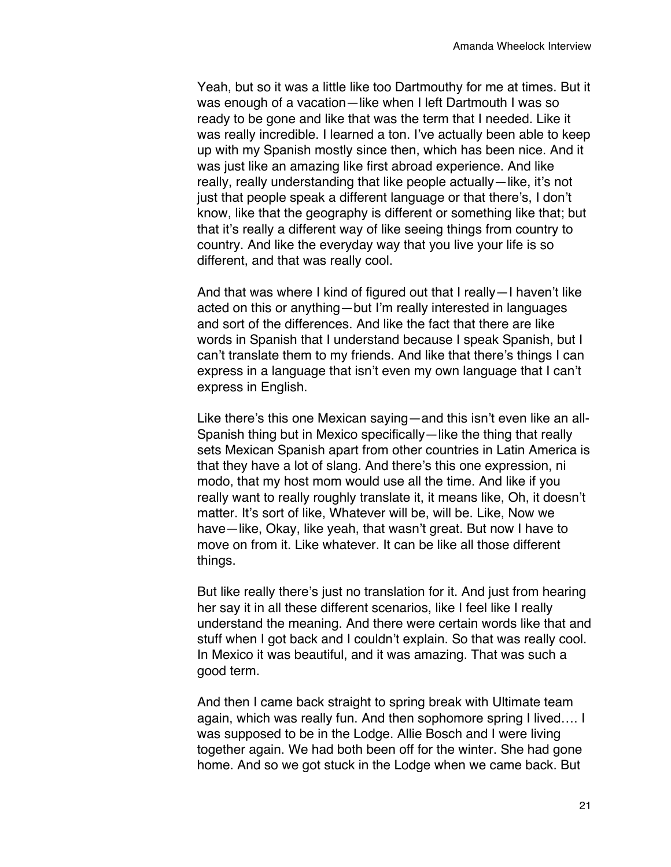Yeah, but so it was a little like too Dartmouthy for me at times. But it was enough of a vacation-like when I left Dartmouth I was so ready to be gone and like that was the term that I needed. Like it was really incredible. I learned a ton. I've actually been able to keep up with my Spanish mostly since then, which has been nice. And it was just like an amazing like first abroad experience. And like really, really understanding that like people actually—like, it's not just that people speak a different language or that there's, I don't know, like that the geography is different or something like that; but that it's really a different way of like seeing things from country to country. And like the everyday way that you live your life is so different, and that was really cool.

And that was where I kind of figured out that I really—I haven't like acted on this or anything—but I'm really interested in languages and sort of the differences. And like the fact that there are like words in Spanish that I understand because I speak Spanish, but I can't translate them to my friends. And like that there's things I can express in a language that isn't even my own language that I can't express in English.

Like there's this one Mexican saying—and this isn't even like an all-Spanish thing but in Mexico specifically—like the thing that really sets Mexican Spanish apart from other countries in Latin America is that they have a lot of slang. And there's this one expression, ni modo, that my host mom would use all the time. And like if you really want to really roughly translate it, it means like, Oh, it doesn't matter. It's sort of like, Whatever will be, will be. Like, Now we have—like, Okay, like yeah, that wasn't great. But now I have to move on from it. Like whatever. It can be like all those different things.

But like really there's just no translation for it. And just from hearing her say it in all these different scenarios, like I feel like I really understand the meaning. And there were certain words like that and stuff when I got back and I couldn't explain. So that was really cool. In Mexico it was beautiful, and it was amazing. That was such a good term.

And then I came back straight to spring break with Ultimate team again, which was really fun. And then sophomore spring I lived…. I was supposed to be in the Lodge. Allie Bosch and I were living together again. We had both been off for the winter. She had gone home. And so we got stuck in the Lodge when we came back. But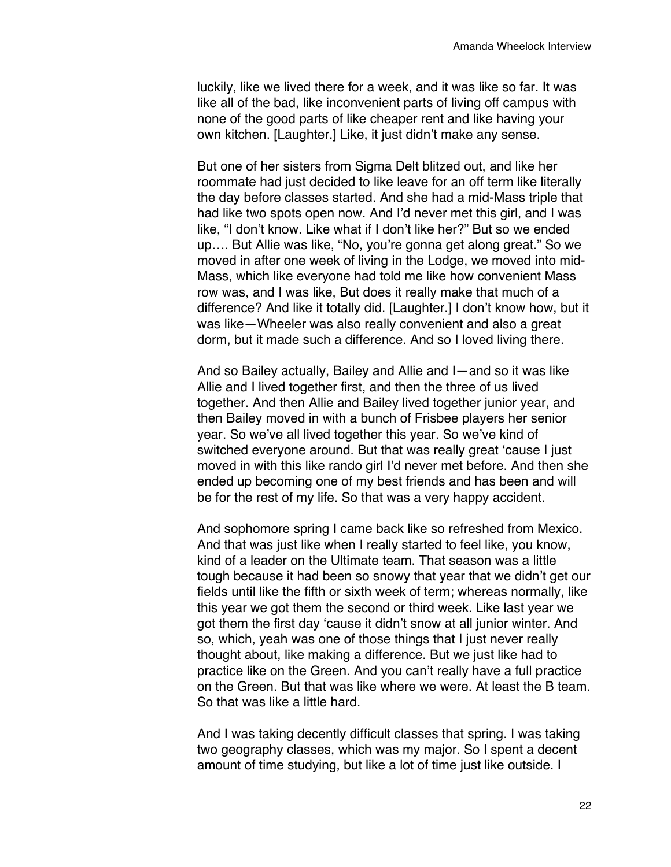luckily, like we lived there for a week, and it was like so far. It was like all of the bad, like inconvenient parts of living off campus with none of the good parts of like cheaper rent and like having your own kitchen. [Laughter.] Like, it just didn't make any sense.

But one of her sisters from Sigma Delt blitzed out, and like her roommate had just decided to like leave for an off term like literally the day before classes started. And she had a mid-Mass triple that had like two spots open now. And I'd never met this girl, and I was like, "I don't know. Like what if I don't like her?" But so we ended up…. But Allie was like, "No, you're gonna get along great." So we moved in after one week of living in the Lodge, we moved into mid-Mass, which like everyone had told me like how convenient Mass row was, and I was like, But does it really make that much of a difference? And like it totally did. [Laughter.] I don't know how, but it was like—Wheeler was also really convenient and also a great dorm, but it made such a difference. And so I loved living there.

And so Bailey actually, Bailey and Allie and I—and so it was like Allie and I lived together first, and then the three of us lived together. And then Allie and Bailey lived together junior year, and then Bailey moved in with a bunch of Frisbee players her senior year. So we've all lived together this year. So we've kind of switched everyone around. But that was really great 'cause I just moved in with this like rando girl I'd never met before. And then she ended up becoming one of my best friends and has been and will be for the rest of my life. So that was a very happy accident.

And sophomore spring I came back like so refreshed from Mexico. And that was just like when I really started to feel like, you know, kind of a leader on the Ultimate team. That season was a little tough because it had been so snowy that year that we didn't get our fields until like the fifth or sixth week of term; whereas normally, like this year we got them the second or third week. Like last year we got them the first day 'cause it didn't snow at all junior winter. And so, which, yeah was one of those things that I just never really thought about, like making a difference. But we just like had to practice like on the Green. And you can't really have a full practice on the Green. But that was like where we were. At least the B team. So that was like a little hard.

And I was taking decently difficult classes that spring. I was taking two geography classes, which was my major. So I spent a decent amount of time studying, but like a lot of time just like outside. I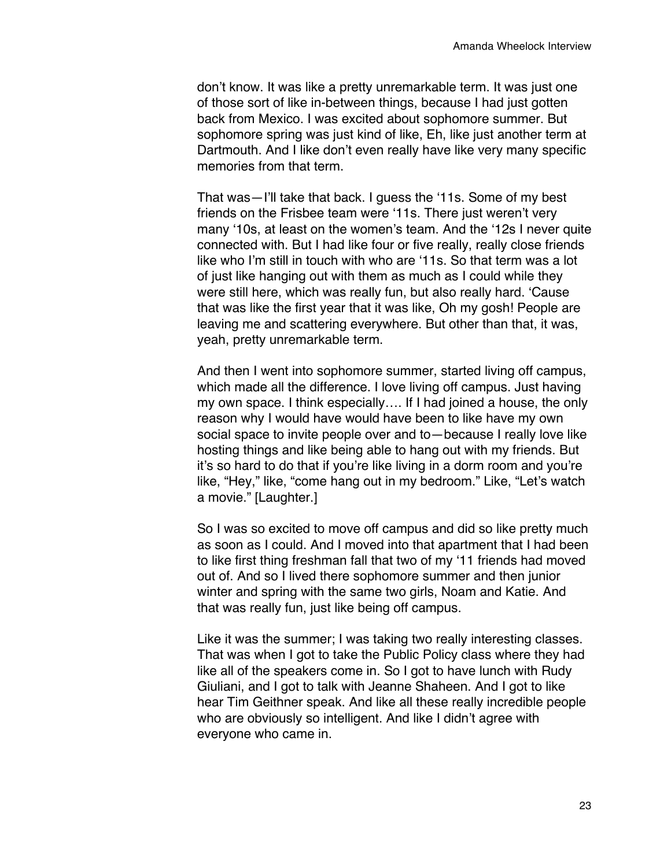don't know. It was like a pretty unremarkable term. It was just one of those sort of like in-between things, because I had just gotten back from Mexico. I was excited about sophomore summer. But sophomore spring was just kind of like, Eh, like just another term at Dartmouth. And I like don't even really have like very many specific memories from that term.

That was—I'll take that back. I guess the '11s. Some of my best friends on the Frisbee team were '11s. There just weren't very many '10s, at least on the women's team. And the '12s I never quite connected with. But I had like four or five really, really close friends like who I'm still in touch with who are '11s. So that term was a lot of just like hanging out with them as much as I could while they were still here, which was really fun, but also really hard. 'Cause that was like the first year that it was like, Oh my gosh! People are leaving me and scattering everywhere. But other than that, it was, yeah, pretty unremarkable term.

And then I went into sophomore summer, started living off campus, which made all the difference. I love living off campus. Just having my own space. I think especially…. If I had joined a house, the only reason why I would have would have been to like have my own social space to invite people over and to—because I really love like hosting things and like being able to hang out with my friends. But it's so hard to do that if you're like living in a dorm room and you're like, "Hey," like, "come hang out in my bedroom." Like, "Let's watch a movie." [Laughter.]

So I was so excited to move off campus and did so like pretty much as soon as I could. And I moved into that apartment that I had been to like first thing freshman fall that two of my '11 friends had moved out of. And so I lived there sophomore summer and then junior winter and spring with the same two girls, Noam and Katie. And that was really fun, just like being off campus.

Like it was the summer; I was taking two really interesting classes. That was when I got to take the Public Policy class where they had like all of the speakers come in. So I got to have lunch with Rudy Giuliani, and I got to talk with Jeanne Shaheen. And I got to like hear Tim Geithner speak. And like all these really incredible people who are obviously so intelligent. And like I didn't agree with everyone who came in.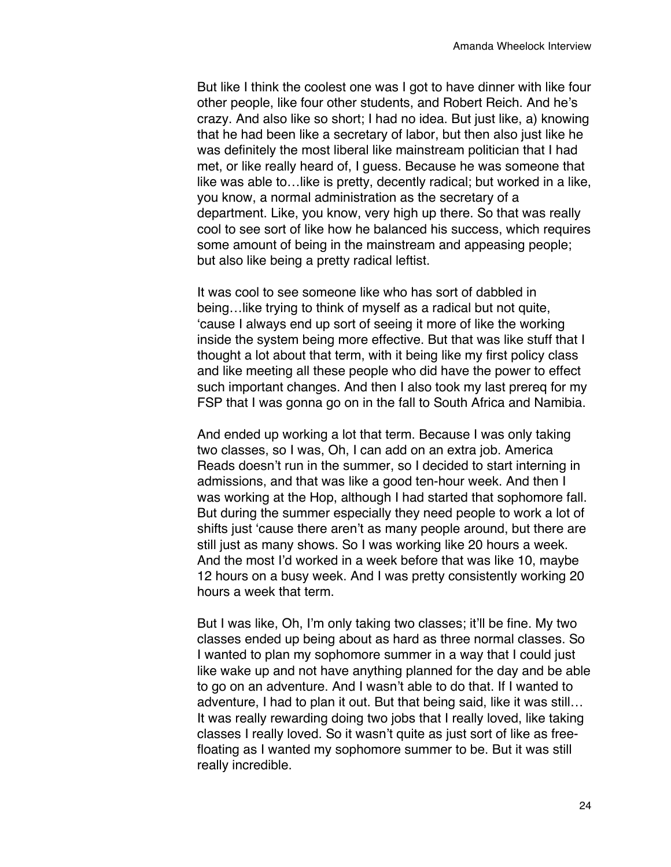But like I think the coolest one was I got to have dinner with like four other people, like four other students, and Robert Reich. And he's crazy. And also like so short; I had no idea. But just like, a) knowing that he had been like a secretary of labor, but then also just like he was definitely the most liberal like mainstream politician that I had met, or like really heard of, I guess. Because he was someone that like was able to…like is pretty, decently radical; but worked in a like, you know, a normal administration as the secretary of a department. Like, you know, very high up there. So that was really cool to see sort of like how he balanced his success, which requires some amount of being in the mainstream and appeasing people; but also like being a pretty radical leftist.

It was cool to see someone like who has sort of dabbled in being…like trying to think of myself as a radical but not quite, 'cause I always end up sort of seeing it more of like the working inside the system being more effective. But that was like stuff that I thought a lot about that term, with it being like my first policy class and like meeting all these people who did have the power to effect such important changes. And then I also took my last prereq for my FSP that I was gonna go on in the fall to South Africa and Namibia.

And ended up working a lot that term. Because I was only taking two classes, so I was, Oh, I can add on an extra job. America Reads doesn't run in the summer, so I decided to start interning in admissions, and that was like a good ten-hour week. And then I was working at the Hop, although I had started that sophomore fall. But during the summer especially they need people to work a lot of shifts just 'cause there aren't as many people around, but there are still just as many shows. So I was working like 20 hours a week. And the most I'd worked in a week before that was like 10, maybe 12 hours on a busy week. And I was pretty consistently working 20 hours a week that term.

But I was like, Oh, I'm only taking two classes; it'll be fine. My two classes ended up being about as hard as three normal classes. So I wanted to plan my sophomore summer in a way that I could just like wake up and not have anything planned for the day and be able to go on an adventure. And I wasn't able to do that. If I wanted to adventure, I had to plan it out. But that being said, like it was still… It was really rewarding doing two jobs that I really loved, like taking classes I really loved. So it wasn't quite as just sort of like as freefloating as I wanted my sophomore summer to be. But it was still really incredible.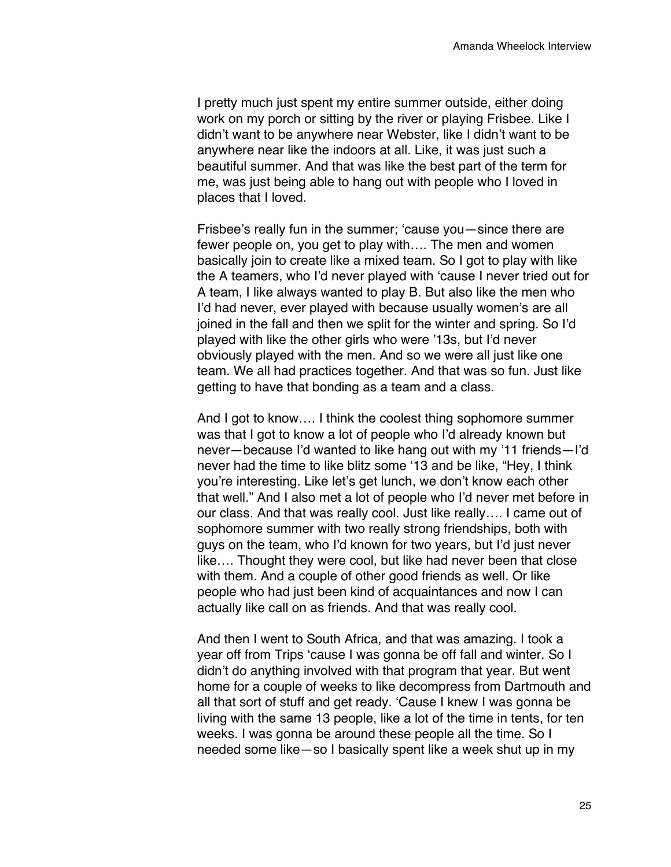I pretty much just spent my entire summer outside, either doing work on my porch or sitting by the river or playing Frisbee. Like I didn't want to be anywhere near Webster, like I didn't want to be anywhere near like the indoors at all. Like, it was just such a beautiful summer. And that was like the best part of the term for me, was just being able to hang out with people who I loved in places that I loved.

Frisbee's really fun in the summer; 'cause you—since there are fewer people on, you get to play with…. The men and women basically join to create like a mixed team. So I got to play with like the A teamers, who I'd never played with 'cause I never tried out for A team, I like always wanted to play B. But also like the men who I'd had never, ever played with because usually women's are all joined in the fall and then we split for the winter and spring. So I'd played with like the other girls who were '13s, but I'd never obviously played with the men. And so we were all just like one team. We all had practices together. And that was so fun. Just like getting to have that bonding as a team and a class.

And I got to know…. I think the coolest thing sophomore summer was that I got to know a lot of people who I'd already known but never—because I'd wanted to like hang out with my '11 friends—I'd never had the time to like blitz some '13 and be like, "Hey, I think you're interesting. Like let's get lunch, we don't know each other that well." And I also met a lot of people who I'd never met before in our class. And that was really cool. Just like really…. I came out of sophomore summer with two really strong friendships, both with guys on the team, who I'd known for two years, but I'd just never like…. Thought they were cool, but like had never been that close with them. And a couple of other good friends as well. Or like people who had just been kind of acquaintances and now I can actually like call on as friends. And that was really cool.

And then I went to South Africa, and that was amazing. I took a year off from Trips 'cause I was gonna be off fall and winter. So I didn't do anything involved with that program that year. But went home for a couple of weeks to like decompress from Dartmouth and all that sort of stuff and get ready. 'Cause I knew I was gonna be living with the same 13 people, like a lot of the time in tents, for ten weeks. I was gonna be around these people all the time. So I needed some like—so I basically spent like a week shut up in my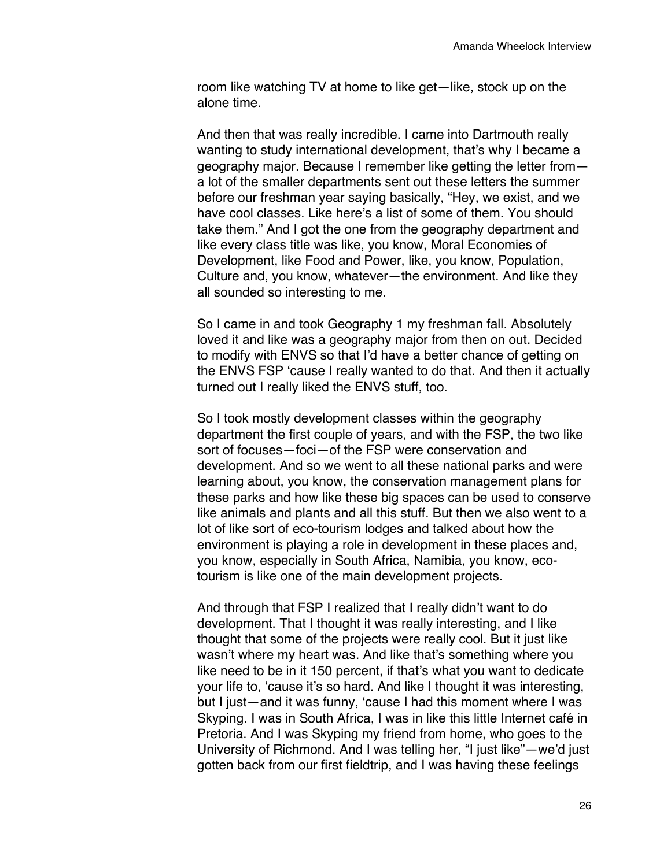room like watching TV at home to like get—like, stock up on the alone time.

And then that was really incredible. I came into Dartmouth really wanting to study international development, that's why I became a geography major. Because I remember like getting the letter from a lot of the smaller departments sent out these letters the summer before our freshman year saying basically, "Hey, we exist, and we have cool classes. Like here's a list of some of them. You should take them." And I got the one from the geography department and like every class title was like, you know, Moral Economies of Development, like Food and Power, like, you know, Population, Culture and, you know, whatever—the environment. And like they all sounded so interesting to me.

So I came in and took Geography 1 my freshman fall. Absolutely loved it and like was a geography major from then on out. Decided to modify with ENVS so that I'd have a better chance of getting on the ENVS FSP 'cause I really wanted to do that. And then it actually turned out I really liked the ENVS stuff, too.

So I took mostly development classes within the geography department the first couple of years, and with the FSP, the two like sort of focuses—foci—of the FSP were conservation and development. And so we went to all these national parks and were learning about, you know, the conservation management plans for these parks and how like these big spaces can be used to conserve like animals and plants and all this stuff. But then we also went to a lot of like sort of eco-tourism lodges and talked about how the environment is playing a role in development in these places and, you know, especially in South Africa, Namibia, you know, ecotourism is like one of the main development projects.

And through that FSP I realized that I really didn't want to do development. That I thought it was really interesting, and I like thought that some of the projects were really cool. But it just like wasn't where my heart was. And like that's something where you like need to be in it 150 percent, if that's what you want to dedicate your life to, 'cause it's so hard. And like I thought it was interesting, but I just—and it was funny, 'cause I had this moment where I was Skyping. I was in South Africa, I was in like this little Internet café in Pretoria. And I was Skyping my friend from home, who goes to the University of Richmond. And I was telling her, "I just like"—we'd just gotten back from our first fieldtrip, and I was having these feelings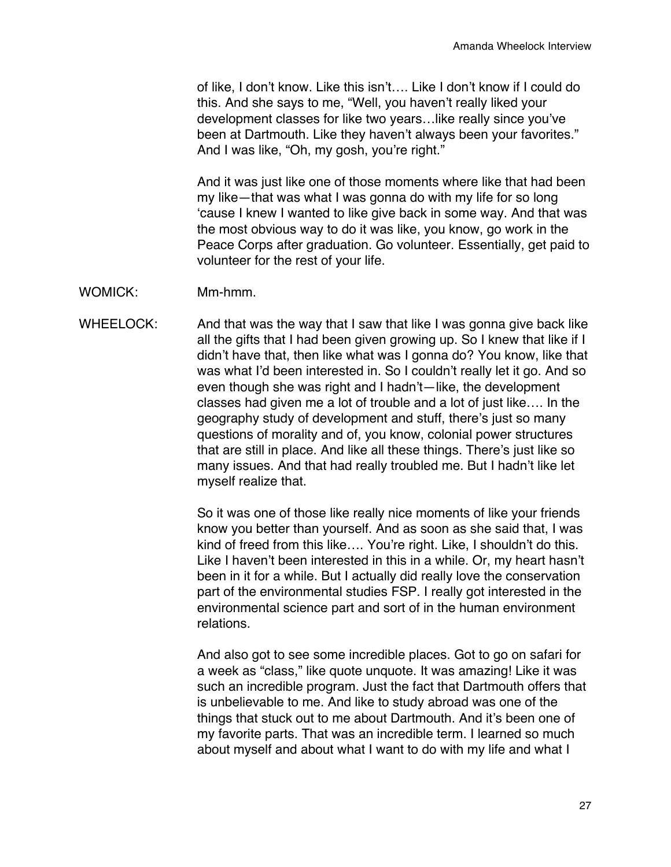of like, I don't know. Like this isn't…. Like I don't know if I could do this. And she says to me, "Well, you haven't really liked your development classes for like two years…like really since you've been at Dartmouth. Like they haven't always been your favorites." And I was like, "Oh, my gosh, you're right."

And it was just like one of those moments where like that had been my like—that was what I was gonna do with my life for so long 'cause I knew I wanted to like give back in some way. And that was the most obvious way to do it was like, you know, go work in the Peace Corps after graduation. Go volunteer. Essentially, get paid to volunteer for the rest of your life.

- WOMICK: Mm-hmm.
- WHEELOCK: And that was the way that I saw that like I was gonna give back like all the gifts that I had been given growing up. So I knew that like if I didn't have that, then like what was I gonna do? You know, like that was what I'd been interested in. So I couldn't really let it go. And so even though she was right and I hadn't—like, the development classes had given me a lot of trouble and a lot of just like…. In the geography study of development and stuff, there's just so many questions of morality and of, you know, colonial power structures that are still in place. And like all these things. There's just like so many issues. And that had really troubled me. But I hadn't like let myself realize that.

So it was one of those like really nice moments of like your friends know you better than yourself. And as soon as she said that, I was kind of freed from this like…. You're right. Like, I shouldn't do this. Like I haven't been interested in this in a while. Or, my heart hasn't been in it for a while. But I actually did really love the conservation part of the environmental studies FSP. I really got interested in the environmental science part and sort of in the human environment relations.

And also got to see some incredible places. Got to go on safari for a week as "class," like quote unquote. It was amazing! Like it was such an incredible program. Just the fact that Dartmouth offers that is unbelievable to me. And like to study abroad was one of the things that stuck out to me about Dartmouth. And it's been one of my favorite parts. That was an incredible term. I learned so much about myself and about what I want to do with my life and what I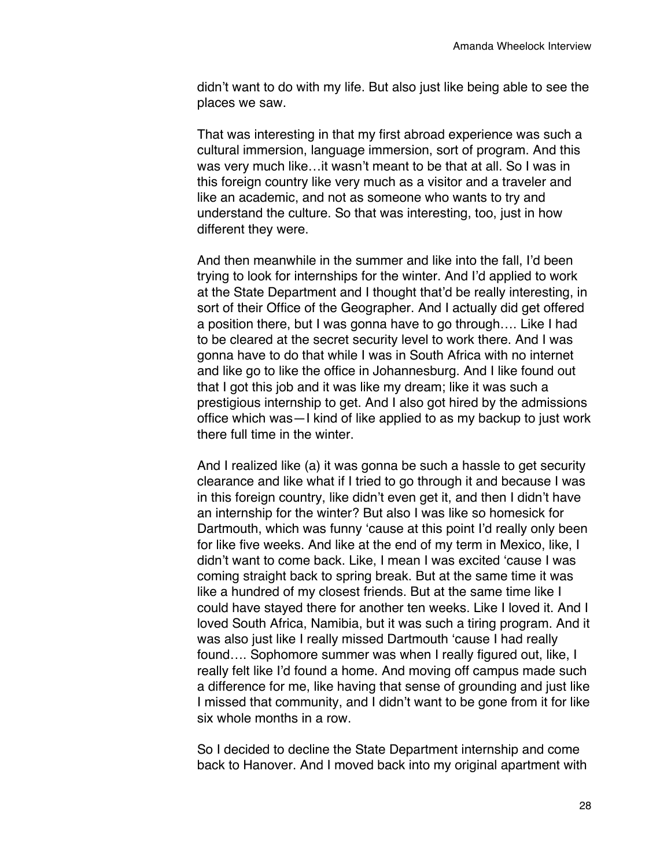didn't want to do with my life. But also just like being able to see the places we saw.

That was interesting in that my first abroad experience was such a cultural immersion, language immersion, sort of program. And this was very much like…it wasn't meant to be that at all. So I was in this foreign country like very much as a visitor and a traveler and like an academic, and not as someone who wants to try and understand the culture. So that was interesting, too, just in how different they were.

And then meanwhile in the summer and like into the fall, I'd been trying to look for internships for the winter. And I'd applied to work at the State Department and I thought that'd be really interesting, in sort of their Office of the Geographer. And I actually did get offered a position there, but I was gonna have to go through…. Like I had to be cleared at the secret security level to work there. And I was gonna have to do that while I was in South Africa with no internet and like go to like the office in Johannesburg. And I like found out that I got this job and it was like my dream; like it was such a prestigious internship to get. And I also got hired by the admissions office which was—I kind of like applied to as my backup to just work there full time in the winter.

And I realized like (a) it was gonna be such a hassle to get security clearance and like what if I tried to go through it and because I was in this foreign country, like didn't even get it, and then I didn't have an internship for the winter? But also I was like so homesick for Dartmouth, which was funny 'cause at this point I'd really only been for like five weeks. And like at the end of my term in Mexico, like, I didn't want to come back. Like, I mean I was excited 'cause I was coming straight back to spring break. But at the same time it was like a hundred of my closest friends. But at the same time like I could have stayed there for another ten weeks. Like I loved it. And I loved South Africa, Namibia, but it was such a tiring program. And it was also just like I really missed Dartmouth 'cause I had really found.... Sophomore summer was when I really figured out, like, I really felt like I'd found a home. And moving off campus made such a difference for me, like having that sense of grounding and just like I missed that community, and I didn't want to be gone from it for like six whole months in a row.

So I decided to decline the State Department internship and come back to Hanover. And I moved back into my original apartment with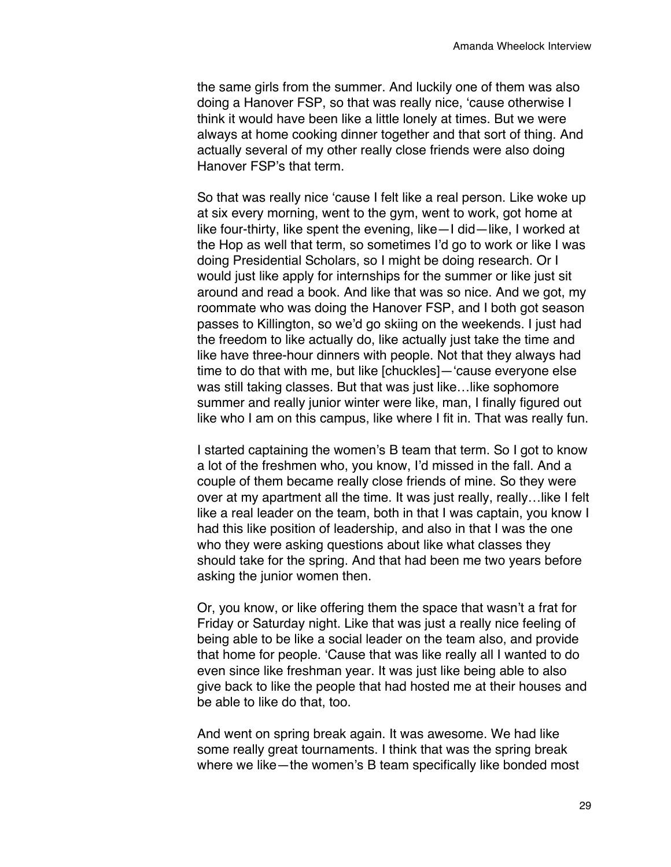the same girls from the summer. And luckily one of them was also doing a Hanover FSP, so that was really nice, 'cause otherwise I think it would have been like a little lonely at times. But we were always at home cooking dinner together and that sort of thing. And actually several of my other really close friends were also doing Hanover FSP's that term.

So that was really nice 'cause I felt like a real person. Like woke up at six every morning, went to the gym, went to work, got home at like four-thirty, like spent the evening, like—I did—like, I worked at the Hop as well that term, so sometimes I'd go to work or like I was doing Presidential Scholars, so I might be doing research. Or I would just like apply for internships for the summer or like just sit around and read a book. And like that was so nice. And we got, my roommate who was doing the Hanover FSP, and I both got season passes to Killington, so we'd go skiing on the weekends. I just had the freedom to like actually do, like actually just take the time and like have three-hour dinners with people. Not that they always had time to do that with me, but like [chuckles]—'cause everyone else was still taking classes. But that was just like…like sophomore summer and really junior winter were like, man, I finally figured out like who I am on this campus, like where I fit in. That was really fun.

I started captaining the women's B team that term. So I got to know a lot of the freshmen who, you know, I'd missed in the fall. And a couple of them became really close friends of mine. So they were over at my apartment all the time. It was just really, really…like I felt like a real leader on the team, both in that I was captain, you know I had this like position of leadership, and also in that I was the one who they were asking questions about like what classes they should take for the spring. And that had been me two years before asking the junior women then.

Or, you know, or like offering them the space that wasn't a frat for Friday or Saturday night. Like that was just a really nice feeling of being able to be like a social leader on the team also, and provide that home for people. 'Cause that was like really all I wanted to do even since like freshman year. It was just like being able to also give back to like the people that had hosted me at their houses and be able to like do that, too.

And went on spring break again. It was awesome. We had like some really great tournaments. I think that was the spring break where we like—the women's B team specifically like bonded most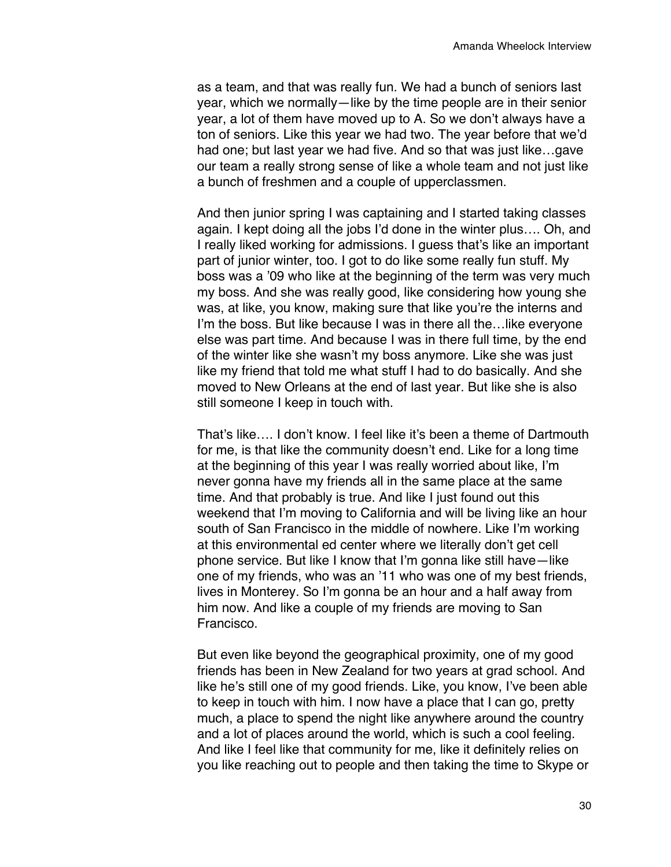as a team, and that was really fun. We had a bunch of seniors last year, which we normally—like by the time people are in their senior year, a lot of them have moved up to A. So we don't always have a ton of seniors. Like this year we had two. The year before that we'd had one; but last year we had five. And so that was just like…gave our team a really strong sense of like a whole team and not just like a bunch of freshmen and a couple of upperclassmen.

And then junior spring I was captaining and I started taking classes again. I kept doing all the jobs I'd done in the winter plus…. Oh, and I really liked working for admissions. I guess that's like an important part of junior winter, too. I got to do like some really fun stuff. My boss was a '09 who like at the beginning of the term was very much my boss. And she was really good, like considering how young she was, at like, you know, making sure that like you're the interns and I'm the boss. But like because I was in there all the…like everyone else was part time. And because I was in there full time, by the end of the winter like she wasn't my boss anymore. Like she was just like my friend that told me what stuff I had to do basically. And she moved to New Orleans at the end of last year. But like she is also still someone I keep in touch with.

That's like…. I don't know. I feel like it's been a theme of Dartmouth for me, is that like the community doesn't end. Like for a long time at the beginning of this year I was really worried about like, I'm never gonna have my friends all in the same place at the same time. And that probably is true. And like I just found out this weekend that I'm moving to California and will be living like an hour south of San Francisco in the middle of nowhere. Like I'm working at this environmental ed center where we literally don't get cell phone service. But like I know that I'm gonna like still have—like one of my friends, who was an '11 who was one of my best friends, lives in Monterey. So I'm gonna be an hour and a half away from him now. And like a couple of my friends are moving to San Francisco.

But even like beyond the geographical proximity, one of my good friends has been in New Zealand for two years at grad school. And like he's still one of my good friends. Like, you know, I've been able to keep in touch with him. I now have a place that I can go, pretty much, a place to spend the night like anywhere around the country and a lot of places around the world, which is such a cool feeling. And like I feel like that community for me, like it definitely relies on you like reaching out to people and then taking the time to Skype or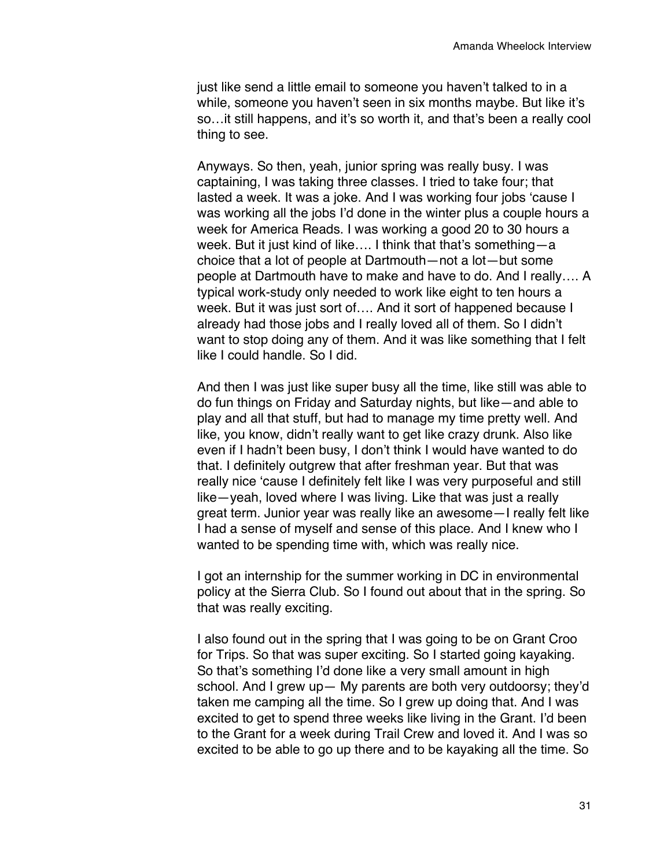just like send a little email to someone you haven't talked to in a while, someone you haven't seen in six months maybe. But like it's so…it still happens, and it's so worth it, and that's been a really cool thing to see.

Anyways. So then, yeah, junior spring was really busy. I was captaining, I was taking three classes. I tried to take four; that lasted a week. It was a joke. And I was working four jobs 'cause I was working all the jobs I'd done in the winter plus a couple hours a week for America Reads. I was working a good 20 to 30 hours a week. But it just kind of like…. I think that that's something—a choice that a lot of people at Dartmouth—not a lot—but some people at Dartmouth have to make and have to do. And I really…. A typical work-study only needed to work like eight to ten hours a week. But it was just sort of…. And it sort of happened because I already had those jobs and I really loved all of them. So I didn't want to stop doing any of them. And it was like something that I felt like I could handle. So I did.

And then I was just like super busy all the time, like still was able to do fun things on Friday and Saturday nights, but like—and able to play and all that stuff, but had to manage my time pretty well. And like, you know, didn't really want to get like crazy drunk. Also like even if I hadn't been busy, I don't think I would have wanted to do that. I definitely outgrew that after freshman year. But that was really nice 'cause I definitely felt like I was very purposeful and still like—yeah, loved where I was living. Like that was just a really great term. Junior year was really like an awesome—I really felt like I had a sense of myself and sense of this place. And I knew who I wanted to be spending time with, which was really nice.

I got an internship for the summer working in DC in environmental policy at the Sierra Club. So I found out about that in the spring. So that was really exciting.

I also found out in the spring that I was going to be on Grant Croo for Trips. So that was super exciting. So I started going kayaking. So that's something I'd done like a very small amount in high school. And I grew up— My parents are both very outdoorsy; they'd taken me camping all the time. So I grew up doing that. And I was excited to get to spend three weeks like living in the Grant. I'd been to the Grant for a week during Trail Crew and loved it. And I was so excited to be able to go up there and to be kayaking all the time. So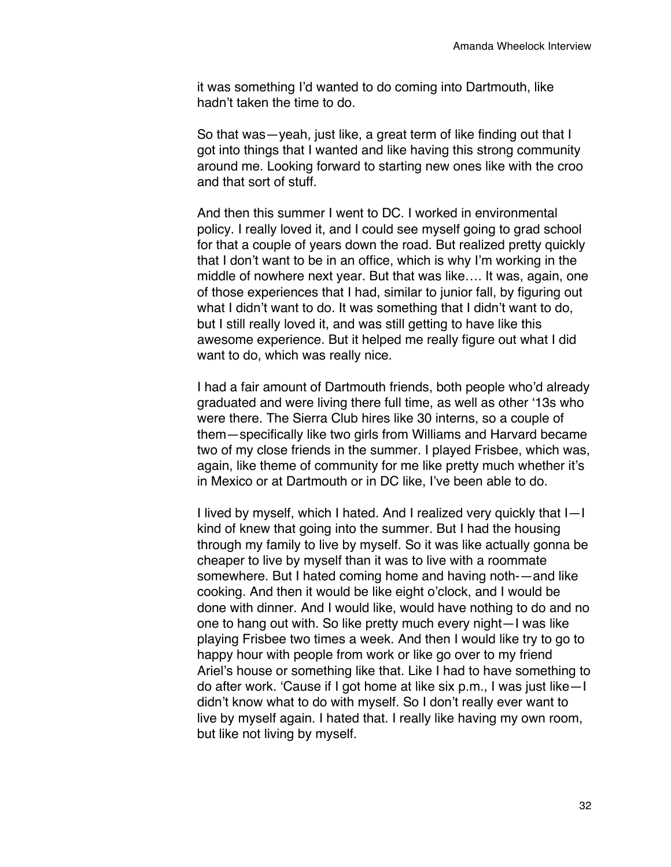it was something I'd wanted to do coming into Dartmouth, like hadn't taken the time to do.

So that was—yeah, just like, a great term of like finding out that I got into things that I wanted and like having this strong community around me. Looking forward to starting new ones like with the croo and that sort of stuff.

And then this summer I went to DC. I worked in environmental policy. I really loved it, and I could see myself going to grad school for that a couple of years down the road. But realized pretty quickly that I don't want to be in an office, which is why I'm working in the middle of nowhere next year. But that was like…. It was, again, one of those experiences that I had, similar to junior fall, by figuring out what I didn't want to do. It was something that I didn't want to do, but I still really loved it, and was still getting to have like this awesome experience. But it helped me really figure out what I did want to do, which was really nice.

I had a fair amount of Dartmouth friends, both people who'd already graduated and were living there full time, as well as other '13s who were there. The Sierra Club hires like 30 interns, so a couple of them—specifically like two girls from Williams and Harvard became two of my close friends in the summer. I played Frisbee, which was, again, like theme of community for me like pretty much whether it's in Mexico or at Dartmouth or in DC like, I've been able to do.

I lived by myself, which I hated. And I realized very quickly that I—I kind of knew that going into the summer. But I had the housing through my family to live by myself. So it was like actually gonna be cheaper to live by myself than it was to live with a roommate somewhere. But I hated coming home and having noth-—and like cooking. And then it would be like eight o'clock, and I would be done with dinner. And I would like, would have nothing to do and no one to hang out with. So like pretty much every night—I was like playing Frisbee two times a week. And then I would like try to go to happy hour with people from work or like go over to my friend Ariel's house or something like that. Like I had to have something to do after work. 'Cause if I got home at like six p.m., I was just like—I didn't know what to do with myself. So I don't really ever want to live by myself again. I hated that. I really like having my own room, but like not living by myself.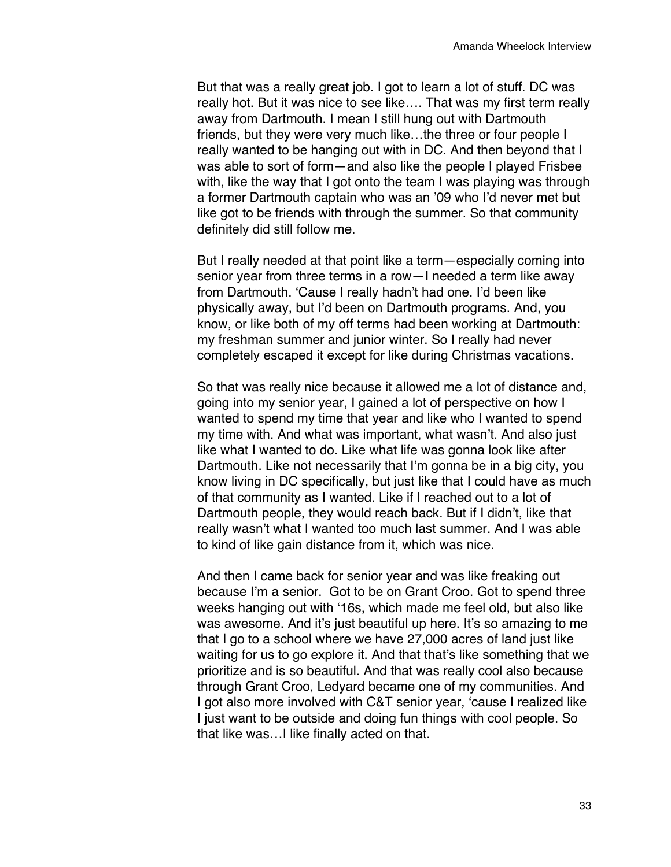But that was a really great job. I got to learn a lot of stuff. DC was really hot. But it was nice to see like…. That was my first term really away from Dartmouth. I mean I still hung out with Dartmouth friends, but they were very much like…the three or four people I really wanted to be hanging out with in DC. And then beyond that I was able to sort of form—and also like the people I played Frisbee with, like the way that I got onto the team I was playing was through a former Dartmouth captain who was an '09 who I'd never met but like got to be friends with through the summer. So that community definitely did still follow me.

But I really needed at that point like a term—especially coming into senior year from three terms in a row—I needed a term like away from Dartmouth. 'Cause I really hadn't had one. I'd been like physically away, but I'd been on Dartmouth programs. And, you know, or like both of my off terms had been working at Dartmouth: my freshman summer and junior winter. So I really had never completely escaped it except for like during Christmas vacations.

So that was really nice because it allowed me a lot of distance and, going into my senior year, I gained a lot of perspective on how I wanted to spend my time that year and like who I wanted to spend my time with. And what was important, what wasn't. And also just like what I wanted to do. Like what life was gonna look like after Dartmouth. Like not necessarily that I'm gonna be in a big city, you know living in DC specifically, but just like that I could have as much of that community as I wanted. Like if I reached out to a lot of Dartmouth people, they would reach back. But if I didn't, like that really wasn't what I wanted too much last summer. And I was able to kind of like gain distance from it, which was nice.

And then I came back for senior year and was like freaking out because I'm a senior. Got to be on Grant Croo. Got to spend three weeks hanging out with '16s, which made me feel old, but also like was awesome. And it's just beautiful up here. It's so amazing to me that I go to a school where we have 27,000 acres of land just like waiting for us to go explore it. And that that's like something that we prioritize and is so beautiful. And that was really cool also because through Grant Croo, Ledyard became one of my communities. And I got also more involved with C&T senior year, 'cause I realized like I just want to be outside and doing fun things with cool people. So that like was…I like finally acted on that.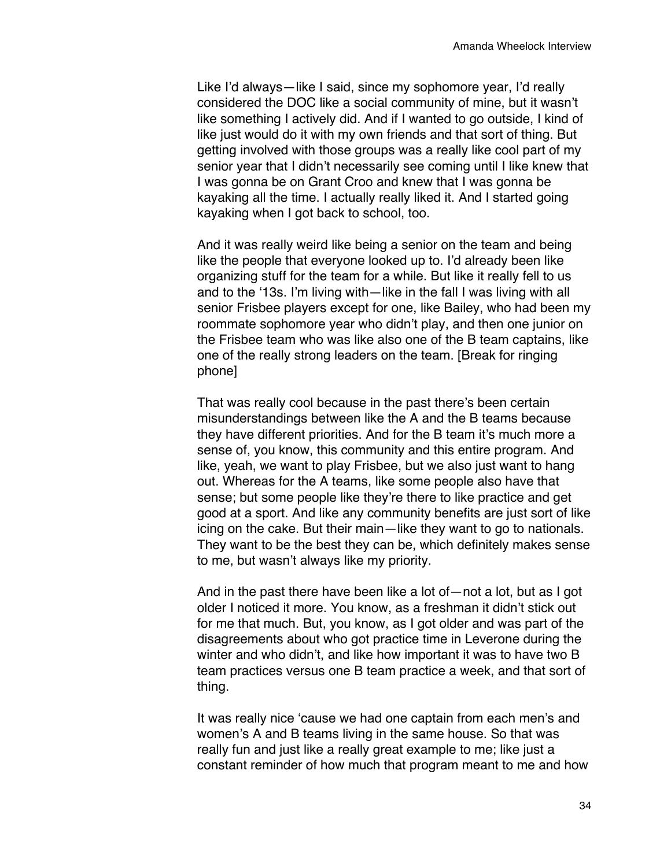Like I'd always—like I said, since my sophomore year, I'd really considered the DOC like a social community of mine, but it wasn't like something I actively did. And if I wanted to go outside, I kind of like just would do it with my own friends and that sort of thing. But getting involved with those groups was a really like cool part of my senior year that I didn't necessarily see coming until I like knew that I was gonna be on Grant Croo and knew that I was gonna be kayaking all the time. I actually really liked it. And I started going kayaking when I got back to school, too.

And it was really weird like being a senior on the team and being like the people that everyone looked up to. I'd already been like organizing stuff for the team for a while. But like it really fell to us and to the '13s. I'm living with—like in the fall I was living with all senior Frisbee players except for one, like Bailey, who had been my roommate sophomore year who didn't play, and then one junior on the Frisbee team who was like also one of the B team captains, like one of the really strong leaders on the team. [Break for ringing phone]

That was really cool because in the past there's been certain misunderstandings between like the A and the B teams because they have different priorities. And for the B team it's much more a sense of, you know, this community and this entire program. And like, yeah, we want to play Frisbee, but we also just want to hang out. Whereas for the A teams, like some people also have that sense; but some people like they're there to like practice and get good at a sport. And like any community benefits are just sort of like icing on the cake. But their main—like they want to go to nationals. They want to be the best they can be, which definitely makes sense to me, but wasn't always like my priority.

And in the past there have been like a lot of—not a lot, but as I got older I noticed it more. You know, as a freshman it didn't stick out for me that much. But, you know, as I got older and was part of the disagreements about who got practice time in Leverone during the winter and who didn't, and like how important it was to have two B team practices versus one B team practice a week, and that sort of thing.

It was really nice 'cause we had one captain from each men's and women's A and B teams living in the same house. So that was really fun and just like a really great example to me; like just a constant reminder of how much that program meant to me and how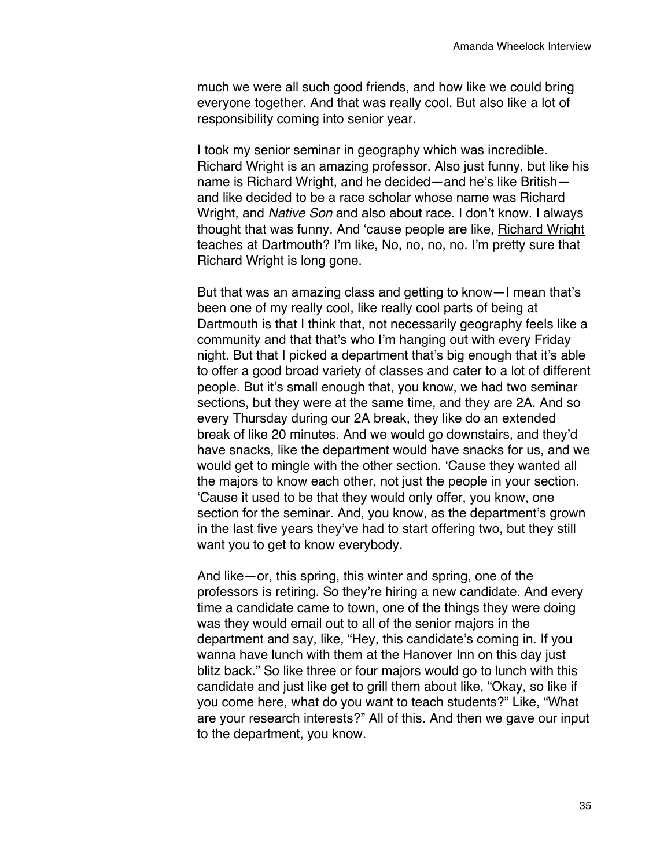much we were all such good friends, and how like we could bring everyone together. And that was really cool. But also like a lot of responsibility coming into senior year.

I took my senior seminar in geography which was incredible. Richard Wright is an amazing professor. Also just funny, but like his name is Richard Wright, and he decided—and he's like British and like decided to be a race scholar whose name was Richard Wright, and *Native Son* and also about race. I don't know. I always thought that was funny. And 'cause people are like, Richard Wright teaches at Dartmouth? I'm like, No, no, no, no. I'm pretty sure that Richard Wright is long gone.

But that was an amazing class and getting to know—I mean that's been one of my really cool, like really cool parts of being at Dartmouth is that I think that, not necessarily geography feels like a community and that that's who I'm hanging out with every Friday night. But that I picked a department that's big enough that it's able to offer a good broad variety of classes and cater to a lot of different people. But it's small enough that, you know, we had two seminar sections, but they were at the same time, and they are 2A. And so every Thursday during our 2A break, they like do an extended break of like 20 minutes. And we would go downstairs, and they'd have snacks, like the department would have snacks for us, and we would get to mingle with the other section. 'Cause they wanted all the majors to know each other, not just the people in your section. 'Cause it used to be that they would only offer, you know, one section for the seminar. And, you know, as the department's grown in the last five years they've had to start offering two, but they still want you to get to know everybody.

And like—or, this spring, this winter and spring, one of the professors is retiring. So they're hiring a new candidate. And every time a candidate came to town, one of the things they were doing was they would email out to all of the senior majors in the department and say, like, "Hey, this candidate's coming in. If you wanna have lunch with them at the Hanover Inn on this day just blitz back." So like three or four majors would go to lunch with this candidate and just like get to grill them about like, "Okay, so like if you come here, what do you want to teach students?" Like, "What are your research interests?" All of this. And then we gave our input to the department, you know.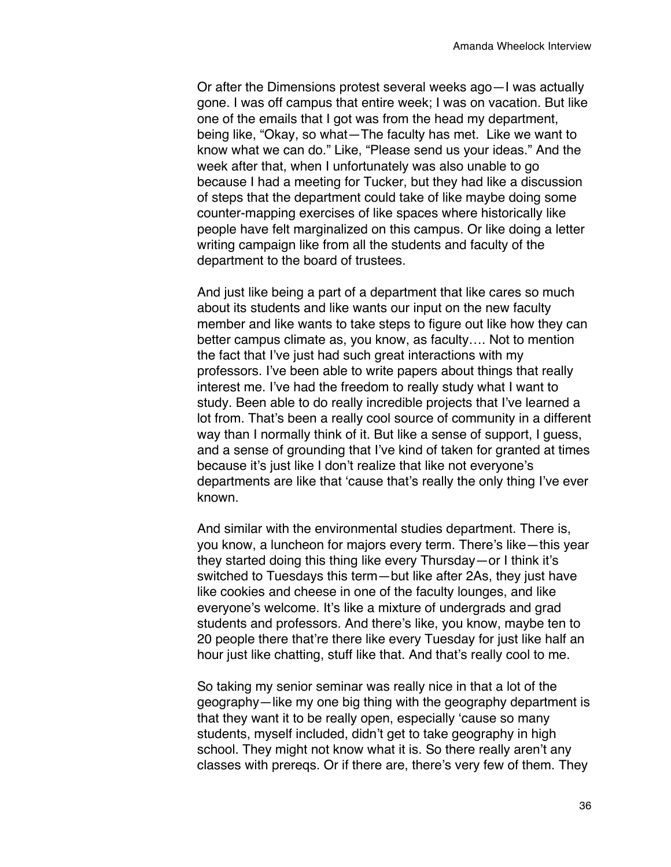Or after the Dimensions protest several weeks ago—I was actually gone. I was off campus that entire week; I was on vacation. But like one of the emails that I got was from the head my department, being like, "Okay, so what—The faculty has met. Like we want to know what we can do." Like, "Please send us your ideas." And the week after that, when I unfortunately was also unable to go because I had a meeting for Tucker, but they had like a discussion of steps that the department could take of like maybe doing some counter-mapping exercises of like spaces where historically like people have felt marginalized on this campus. Or like doing a letter writing campaign like from all the students and faculty of the department to the board of trustees.

And just like being a part of a department that like cares so much about its students and like wants our input on the new faculty member and like wants to take steps to figure out like how they can better campus climate as, you know, as faculty…. Not to mention the fact that I've just had such great interactions with my professors. I've been able to write papers about things that really interest me. I've had the freedom to really study what I want to study. Been able to do really incredible projects that I've learned a lot from. That's been a really cool source of community in a different way than I normally think of it. But like a sense of support, I guess, and a sense of grounding that I've kind of taken for granted at times because it's just like I don't realize that like not everyone's departments are like that 'cause that's really the only thing I've ever known.

And similar with the environmental studies department. There is, you know, a luncheon for majors every term. There's like—this year they started doing this thing like every Thursday—or I think it's switched to Tuesdays this term—but like after 2As, they just have like cookies and cheese in one of the faculty lounges, and like everyone's welcome. It's like a mixture of undergrads and grad students and professors. And there's like, you know, maybe ten to 20 people there that're there like every Tuesday for just like half an hour just like chatting, stuff like that. And that's really cool to me.

So taking my senior seminar was really nice in that a lot of the geography—like my one big thing with the geography department is that they want it to be really open, especially 'cause so many students, myself included, didn't get to take geography in high school. They might not know what it is. So there really aren't any classes with prereqs. Or if there are, there's very few of them. They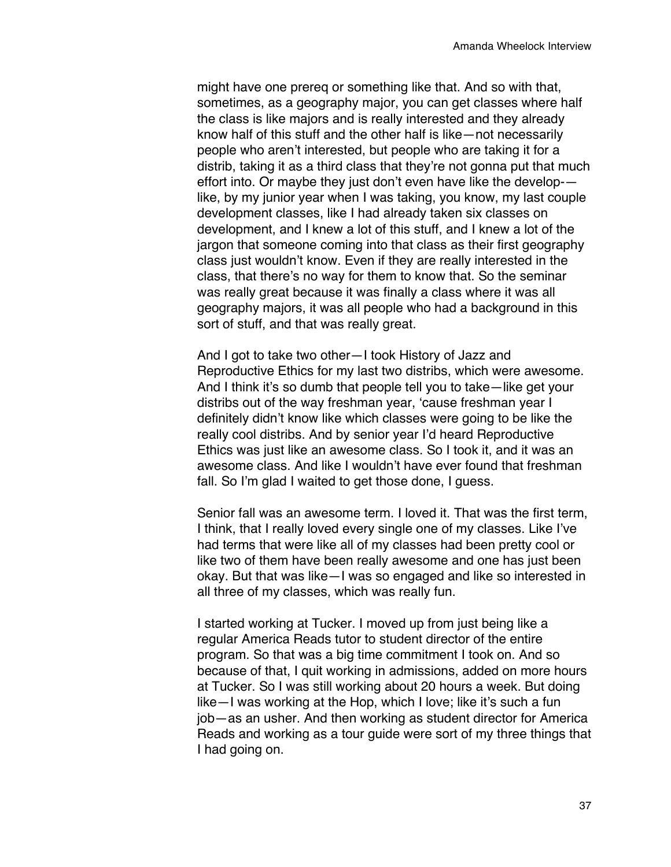might have one prereq or something like that. And so with that, sometimes, as a geography major, you can get classes where half the class is like majors and is really interested and they already know half of this stuff and the other half is like—not necessarily people who aren't interested, but people who are taking it for a distrib, taking it as a third class that they're not gonna put that much effort into. Or maybe they just don't even have like the develop- like, by my junior year when I was taking, you know, my last couple development classes, like I had already taken six classes on development, and I knew a lot of this stuff, and I knew a lot of the jargon that someone coming into that class as their first geography class just wouldn't know. Even if they are really interested in the class, that there's no way for them to know that. So the seminar was really great because it was finally a class where it was all geography majors, it was all people who had a background in this sort of stuff, and that was really great.

And I got to take two other—I took History of Jazz and Reproductive Ethics for my last two distribs, which were awesome. And I think it's so dumb that people tell you to take—like get your distribs out of the way freshman year, 'cause freshman year I definitely didn't know like which classes were going to be like the really cool distribs. And by senior year I'd heard Reproductive Ethics was just like an awesome class. So I took it, and it was an awesome class. And like I wouldn't have ever found that freshman fall. So I'm glad I waited to get those done, I guess.

Senior fall was an awesome term. I loved it. That was the first term, I think, that I really loved every single one of my classes. Like I've had terms that were like all of my classes had been pretty cool or like two of them have been really awesome and one has just been okay. But that was like—I was so engaged and like so interested in all three of my classes, which was really fun.

I started working at Tucker. I moved up from just being like a regular America Reads tutor to student director of the entire program. So that was a big time commitment I took on. And so because of that, I quit working in admissions, added on more hours at Tucker. So I was still working about 20 hours a week. But doing like—I was working at the Hop, which I love; like it's such a fun job—as an usher. And then working as student director for America Reads and working as a tour guide were sort of my three things that I had going on.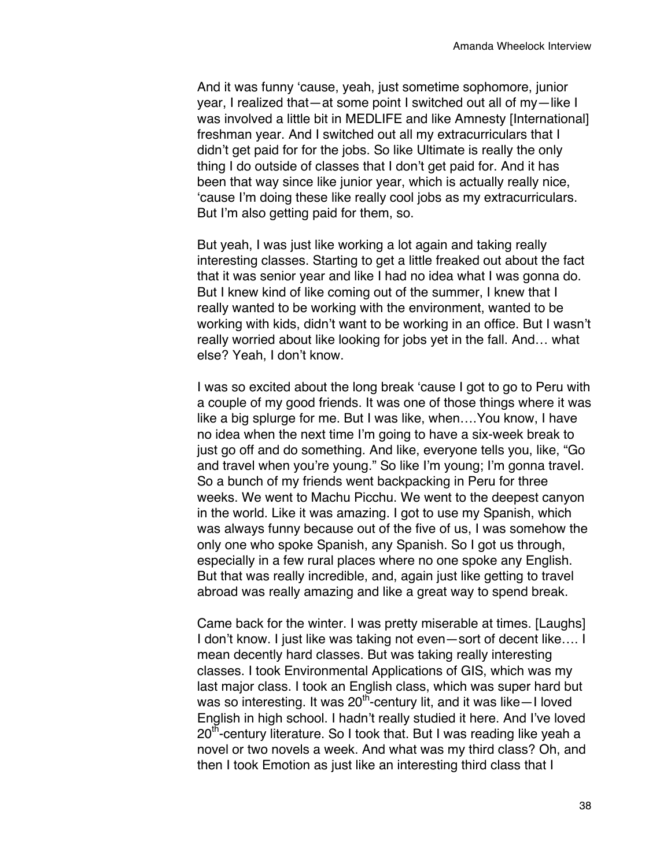And it was funny 'cause, yeah, just sometime sophomore, junior year, I realized that—at some point I switched out all of my—like I was involved a little bit in MEDLIFE and like Amnesty [International] freshman year. And I switched out all my extracurriculars that I didn't get paid for for the jobs. So like Ultimate is really the only thing I do outside of classes that I don't get paid for. And it has been that way since like junior year, which is actually really nice, 'cause I'm doing these like really cool jobs as my extracurriculars. But I'm also getting paid for them, so.

But yeah, I was just like working a lot again and taking really interesting classes. Starting to get a little freaked out about the fact that it was senior year and like I had no idea what I was gonna do. But I knew kind of like coming out of the summer, I knew that I really wanted to be working with the environment, wanted to be working with kids, didn't want to be working in an office. But I wasn't really worried about like looking for jobs yet in the fall. And… what else? Yeah, I don't know.

I was so excited about the long break 'cause I got to go to Peru with a couple of my good friends. It was one of those things where it was like a big splurge for me. But I was like, when….You know, I have no idea when the next time I'm going to have a six-week break to just go off and do something. And like, everyone tells you, like, "Go and travel when you're young." So like I'm young; I'm gonna travel. So a bunch of my friends went backpacking in Peru for three weeks. We went to Machu Picchu. We went to the deepest canyon in the world. Like it was amazing. I got to use my Spanish, which was always funny because out of the five of us, I was somehow the only one who spoke Spanish, any Spanish. So I got us through, especially in a few rural places where no one spoke any English. But that was really incredible, and, again just like getting to travel abroad was really amazing and like a great way to spend break.

Came back for the winter. I was pretty miserable at times. [Laughs] I don't know. I just like was taking not even—sort of decent like…. I mean decently hard classes. But was taking really interesting classes. I took Environmental Applications of GIS, which was my last major class. I took an English class, which was super hard but was so interesting. It was  $20^{th}$ -century lit, and it was like–I loved English in high school. I hadn't really studied it here. And I've loved  $20<sup>th</sup>$ -century literature. So I took that. But I was reading like yeah a novel or two novels a week. And what was my third class? Oh, and then I took Emotion as just like an interesting third class that I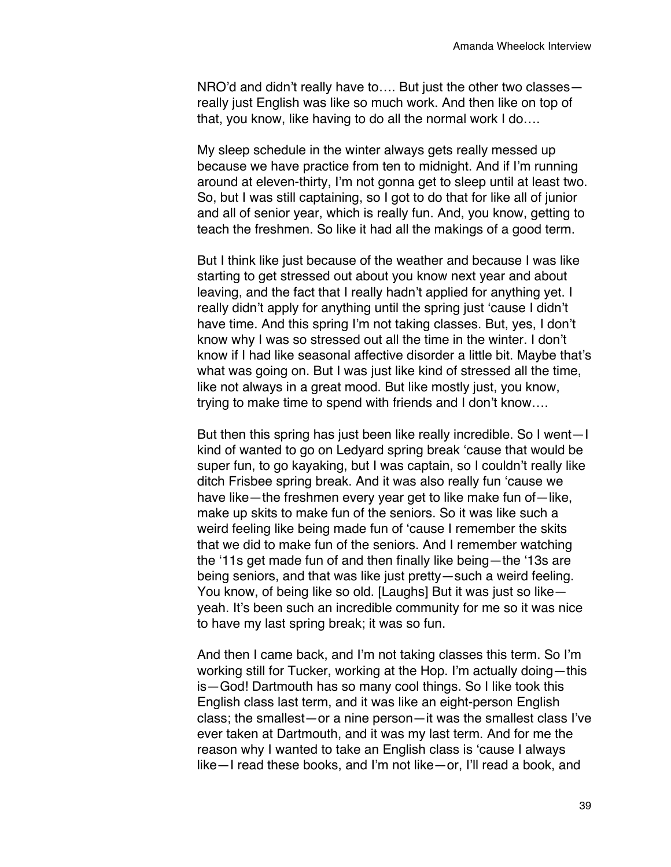NRO'd and didn't really have to…. But just the other two classes really just English was like so much work. And then like on top of that, you know, like having to do all the normal work I do….

My sleep schedule in the winter always gets really messed up because we have practice from ten to midnight. And if I'm running around at eleven-thirty, I'm not gonna get to sleep until at least two. So, but I was still captaining, so I got to do that for like all of junior and all of senior year, which is really fun. And, you know, getting to teach the freshmen. So like it had all the makings of a good term.

But I think like just because of the weather and because I was like starting to get stressed out about you know next year and about leaving, and the fact that I really hadn't applied for anything yet. I really didn't apply for anything until the spring just 'cause I didn't have time. And this spring I'm not taking classes. But, yes, I don't know why I was so stressed out all the time in the winter. I don't know if I had like seasonal affective disorder a little bit. Maybe that's what was going on. But I was just like kind of stressed all the time, like not always in a great mood. But like mostly just, you know, trying to make time to spend with friends and I don't know….

But then this spring has just been like really incredible. So I went—I kind of wanted to go on Ledyard spring break 'cause that would be super fun, to go kayaking, but I was captain, so I couldn't really like ditch Frisbee spring break. And it was also really fun 'cause we have like—the freshmen every year get to like make fun of—like, make up skits to make fun of the seniors. So it was like such a weird feeling like being made fun of 'cause I remember the skits that we did to make fun of the seniors. And I remember watching the '11s get made fun of and then finally like being—the '13s are being seniors, and that was like just pretty—such a weird feeling. You know, of being like so old. [Laughs] But it was just so like yeah. It's been such an incredible community for me so it was nice to have my last spring break; it was so fun.

And then I came back, and I'm not taking classes this term. So I'm working still for Tucker, working at the Hop. I'm actually doing—this is—God! Dartmouth has so many cool things. So I like took this English class last term, and it was like an eight-person English class; the smallest—or a nine person—it was the smallest class I've ever taken at Dartmouth, and it was my last term. And for me the reason why I wanted to take an English class is 'cause I always like—I read these books, and I'm not like—or, I'll read a book, and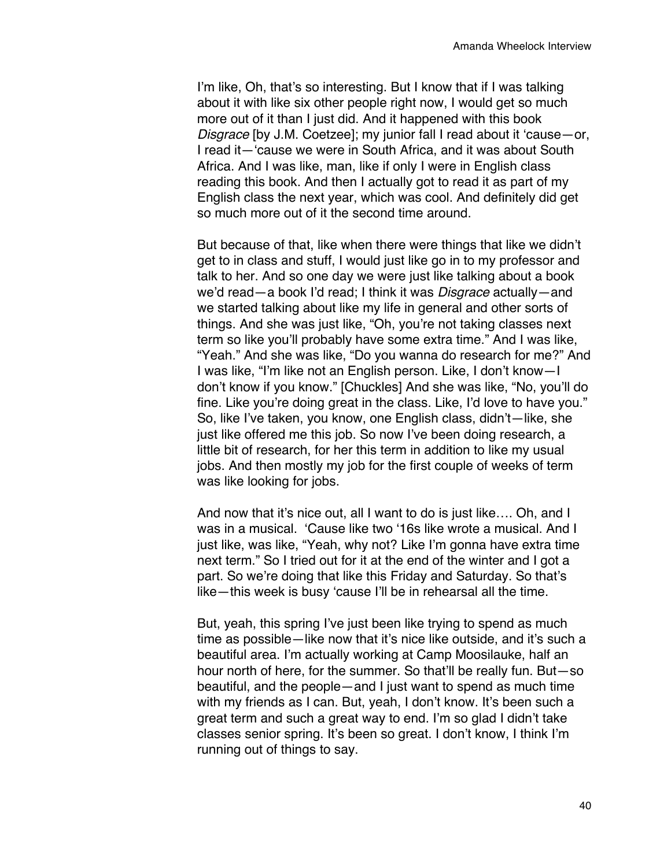I'm like, Oh, that's so interesting. But I know that if I was talking about it with like six other people right now, I would get so much more out of it than I just did. And it happened with this book *Disgrace* [by J.M. Coetzee]; my junior fall I read about it 'cause—or, I read it—'cause we were in South Africa, and it was about South Africa. And I was like, man, like if only I were in English class reading this book. And then I actually got to read it as part of my English class the next year, which was cool. And definitely did get so much more out of it the second time around.

But because of that, like when there were things that like we didn't get to in class and stuff, I would just like go in to my professor and talk to her. And so one day we were just like talking about a book we'd read—a book I'd read; I think it was *Disgrace* actually—and we started talking about like my life in general and other sorts of things. And she was just like, "Oh, you're not taking classes next term so like you'll probably have some extra time." And I was like, "Yeah." And she was like, "Do you wanna do research for me?" And I was like, "I'm like not an English person. Like, I don't know—I don't know if you know." [Chuckles] And she was like, "No, you'll do fine. Like you're doing great in the class. Like, I'd love to have you." So, like I've taken, you know, one English class, didn't—like, she just like offered me this job. So now I've been doing research, a little bit of research, for her this term in addition to like my usual jobs. And then mostly my job for the first couple of weeks of term was like looking for jobs.

And now that it's nice out, all I want to do is just like…. Oh, and I was in a musical. 'Cause like two '16s like wrote a musical. And I just like, was like, "Yeah, why not? Like I'm gonna have extra time next term." So I tried out for it at the end of the winter and I got a part. So we're doing that like this Friday and Saturday. So that's like—this week is busy 'cause I'll be in rehearsal all the time.

But, yeah, this spring I've just been like trying to spend as much time as possible—like now that it's nice like outside, and it's such a beautiful area. I'm actually working at Camp Moosilauke, half an hour north of here, for the summer. So that'll be really fun. But—so beautiful, and the people—and I just want to spend as much time with my friends as I can. But, yeah, I don't know. It's been such a great term and such a great way to end. I'm so glad I didn't take classes senior spring. It's been so great. I don't know, I think I'm running out of things to say.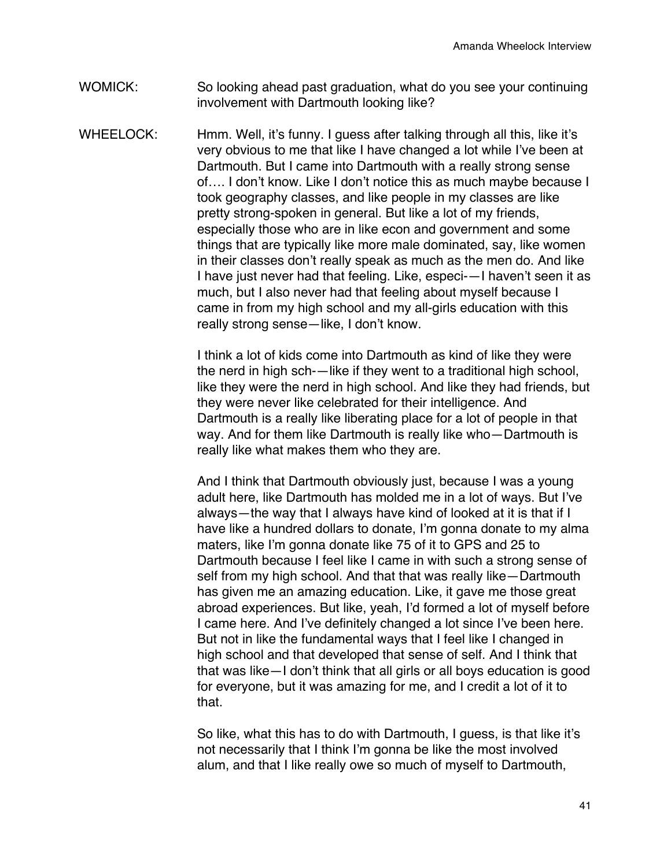- WOMICK: So looking ahead past graduation, what do you see your continuing involvement with Dartmouth looking like?
- WHEELOCK: Hmm. Well, it's funny. I quess after talking through all this, like it's very obvious to me that like I have changed a lot while I've been at Dartmouth. But I came into Dartmouth with a really strong sense of…. I don't know. Like I don't notice this as much maybe because I took geography classes, and like people in my classes are like pretty strong-spoken in general. But like a lot of my friends, especially those who are in like econ and government and some things that are typically like more male dominated, say, like women in their classes don't really speak as much as the men do. And like I have just never had that feeling. Like, especi-—I haven't seen it as much, but I also never had that feeling about myself because I came in from my high school and my all-girls education with this really strong sense—like, I don't know.

I think a lot of kids come into Dartmouth as kind of like they were the nerd in high sch-—like if they went to a traditional high school, like they were the nerd in high school. And like they had friends, but they were never like celebrated for their intelligence. And Dartmouth is a really like liberating place for a lot of people in that way. And for them like Dartmouth is really like who—Dartmouth is really like what makes them who they are.

And I think that Dartmouth obviously just, because I was a young adult here, like Dartmouth has molded me in a lot of ways. But I've always—the way that I always have kind of looked at it is that if I have like a hundred dollars to donate, I'm gonna donate to my alma maters, like I'm gonna donate like 75 of it to GPS and 25 to Dartmouth because I feel like I came in with such a strong sense of self from my high school. And that that was really like—Dartmouth has given me an amazing education. Like, it gave me those great abroad experiences. But like, yeah, I'd formed a lot of myself before I came here. And I've definitely changed a lot since I've been here. But not in like the fundamental ways that I feel like I changed in high school and that developed that sense of self. And I think that that was like—I don't think that all girls or all boys education is good for everyone, but it was amazing for me, and I credit a lot of it to that.

So like, what this has to do with Dartmouth, I guess, is that like it's not necessarily that I think I'm gonna be like the most involved alum, and that I like really owe so much of myself to Dartmouth,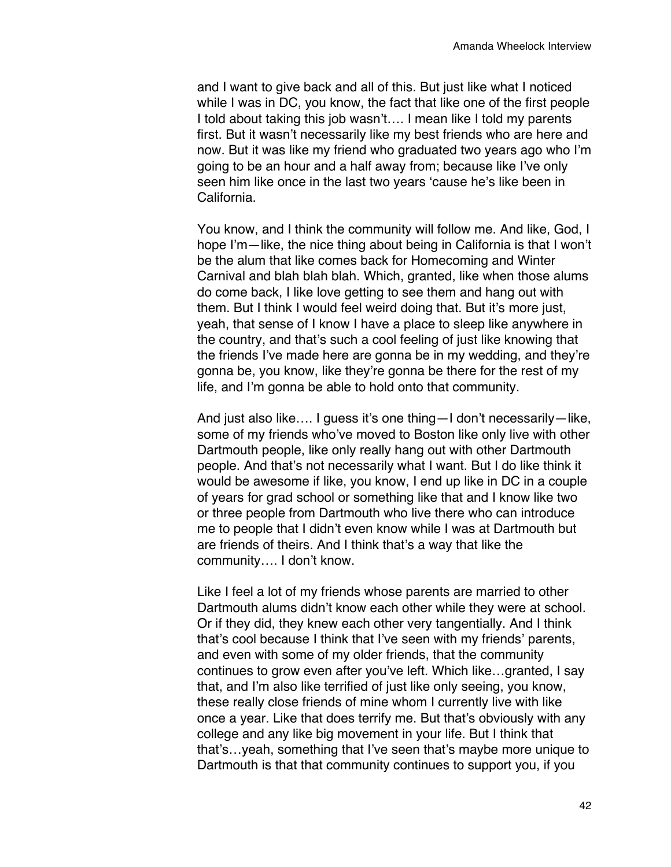and I want to give back and all of this. But just like what I noticed while I was in DC, you know, the fact that like one of the first people I told about taking this job wasn't…. I mean like I told my parents first. But it wasn't necessarily like my best friends who are here and now. But it was like my friend who graduated two years ago who I'm going to be an hour and a half away from; because like I've only seen him like once in the last two years 'cause he's like been in California.

You know, and I think the community will follow me. And like, God, I hope I'm—like, the nice thing about being in California is that I won't be the alum that like comes back for Homecoming and Winter Carnival and blah blah blah. Which, granted, like when those alums do come back, I like love getting to see them and hang out with them. But I think I would feel weird doing that. But it's more just, yeah, that sense of I know I have a place to sleep like anywhere in the country, and that's such a cool feeling of just like knowing that the friends I've made here are gonna be in my wedding, and they're gonna be, you know, like they're gonna be there for the rest of my life, and I'm gonna be able to hold onto that community.

And just also like…. I guess it's one thing—I don't necessarily—like, some of my friends who've moved to Boston like only live with other Dartmouth people, like only really hang out with other Dartmouth people. And that's not necessarily what I want. But I do like think it would be awesome if like, you know, I end up like in DC in a couple of years for grad school or something like that and I know like two or three people from Dartmouth who live there who can introduce me to people that I didn't even know while I was at Dartmouth but are friends of theirs. And I think that's a way that like the community…. I don't know.

Like I feel a lot of my friends whose parents are married to other Dartmouth alums didn't know each other while they were at school. Or if they did, they knew each other very tangentially. And I think that's cool because I think that I've seen with my friends' parents, and even with some of my older friends, that the community continues to grow even after you've left. Which like…granted, I say that, and I'm also like terrified of just like only seeing, you know, these really close friends of mine whom I currently live with like once a year. Like that does terrify me. But that's obviously with any college and any like big movement in your life. But I think that that's…yeah, something that I've seen that's maybe more unique to Dartmouth is that that community continues to support you, if you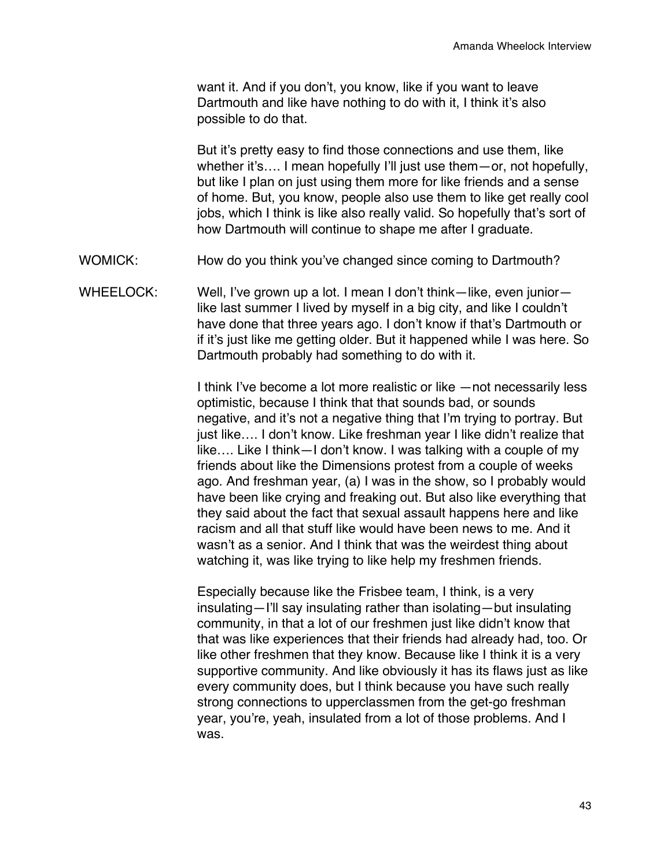want it. And if you don't, you know, like if you want to leave Dartmouth and like have nothing to do with it, I think it's also possible to do that.

But it's pretty easy to find those connections and use them, like whether it's.... I mean hopefully I'll just use them—or, not hopefully, but like I plan on just using them more for like friends and a sense of home. But, you know, people also use them to like get really cool jobs, which I think is like also really valid. So hopefully that's sort of how Dartmouth will continue to shape me after I graduate.

- WOMICK: How do you think you've changed since coming to Dartmouth?
- WHEELOCK: Well, I've grown up a lot. I mean I don't think—like, even junior like last summer I lived by myself in a big city, and like I couldn't have done that three years ago. I don't know if that's Dartmouth or if it's just like me getting older. But it happened while I was here. So Dartmouth probably had something to do with it.

I think I've become a lot more realistic or like —not necessarily less optimistic, because I think that that sounds bad, or sounds negative, and it's not a negative thing that I'm trying to portray. But just like…. I don't know. Like freshman year I like didn't realize that like…. Like I think—I don't know. I was talking with a couple of my friends about like the Dimensions protest from a couple of weeks ago. And freshman year, (a) I was in the show, so I probably would have been like crying and freaking out. But also like everything that they said about the fact that sexual assault happens here and like racism and all that stuff like would have been news to me. And it wasn't as a senior. And I think that was the weirdest thing about watching it, was like trying to like help my freshmen friends.

Especially because like the Frisbee team, I think, is a very insulating—I'll say insulating rather than isolating—but insulating community, in that a lot of our freshmen just like didn't know that that was like experiences that their friends had already had, too. Or like other freshmen that they know. Because like I think it is a very supportive community. And like obviously it has its flaws just as like every community does, but I think because you have such really strong connections to upperclassmen from the get-go freshman year, you're, yeah, insulated from a lot of those problems. And I was.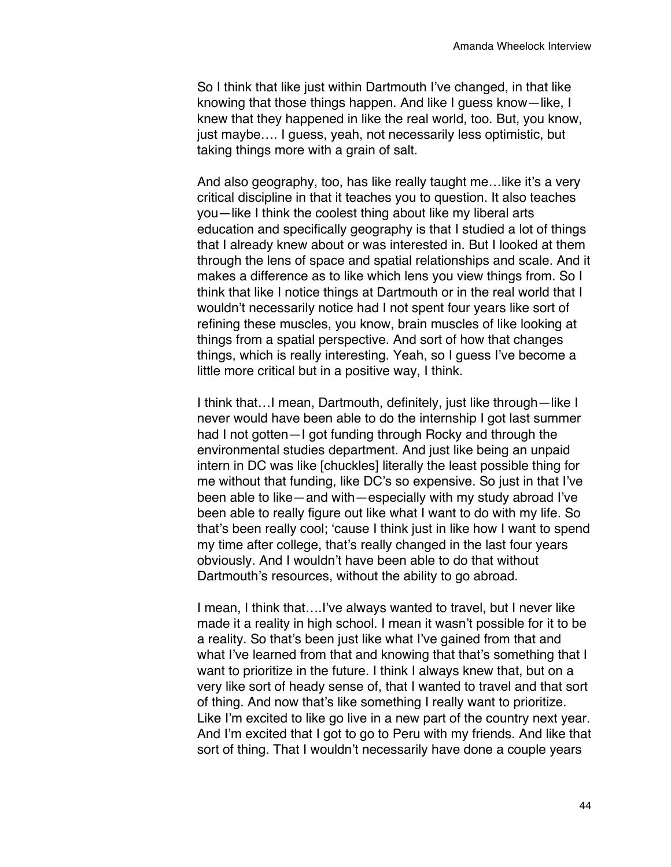So I think that like just within Dartmouth I've changed, in that like knowing that those things happen. And like I guess know—like, I knew that they happened in like the real world, too. But, you know, just maybe…. I guess, yeah, not necessarily less optimistic, but taking things more with a grain of salt.

And also geography, too, has like really taught me…like it's a very critical discipline in that it teaches you to question. It also teaches you—like I think the coolest thing about like my liberal arts education and specifically geography is that I studied a lot of things that I already knew about or was interested in. But I looked at them through the lens of space and spatial relationships and scale. And it makes a difference as to like which lens you view things from. So I think that like I notice things at Dartmouth or in the real world that I wouldn't necessarily notice had I not spent four years like sort of refining these muscles, you know, brain muscles of like looking at things from a spatial perspective. And sort of how that changes things, which is really interesting. Yeah, so I guess I've become a little more critical but in a positive way, I think.

I think that…I mean, Dartmouth, definitely, just like through—like I never would have been able to do the internship I got last summer had I not gotten—I got funding through Rocky and through the environmental studies department. And just like being an unpaid intern in DC was like [chuckles] literally the least possible thing for me without that funding, like DC's so expensive. So just in that I've been able to like—and with—especially with my study abroad I've been able to really figure out like what I want to do with my life. So that's been really cool; 'cause I think just in like how I want to spend my time after college, that's really changed in the last four years obviously. And I wouldn't have been able to do that without Dartmouth's resources, without the ability to go abroad.

I mean, I think that….I've always wanted to travel, but I never like made it a reality in high school. I mean it wasn't possible for it to be a reality. So that's been just like what I've gained from that and what I've learned from that and knowing that that's something that I want to prioritize in the future. I think I always knew that, but on a very like sort of heady sense of, that I wanted to travel and that sort of thing. And now that's like something I really want to prioritize. Like I'm excited to like go live in a new part of the country next year. And I'm excited that I got to go to Peru with my friends. And like that sort of thing. That I wouldn't necessarily have done a couple years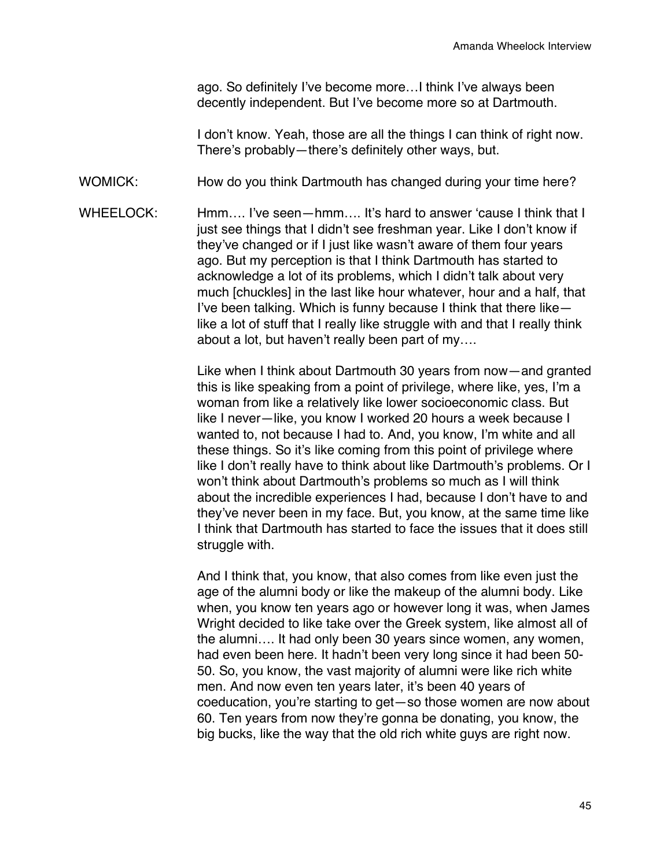ago. So definitely I've become more…I think I've always been decently independent. But I've become more so at Dartmouth.

I don't know. Yeah, those are all the things I can think of right now. There's probably—there's definitely other ways, but.

WOMICK: How do you think Dartmouth has changed during your time here?

WHEELOCK: Hmm.... I've seen—hmm.... It's hard to answer 'cause I think that I just see things that I didn't see freshman year. Like I don't know if they've changed or if I just like wasn't aware of them four years ago. But my perception is that I think Dartmouth has started to acknowledge a lot of its problems, which I didn't talk about very much [chuckles] in the last like hour whatever, hour and a half, that I've been talking. Which is funny because I think that there like like a lot of stuff that I really like struggle with and that I really think about a lot, but haven't really been part of my….

> Like when I think about Dartmouth 30 years from now—and granted this is like speaking from a point of privilege, where like, yes, I'm a woman from like a relatively like lower socioeconomic class. But like I never—like, you know I worked 20 hours a week because I wanted to, not because I had to. And, you know, I'm white and all these things. So it's like coming from this point of privilege where like I don't really have to think about like Dartmouth's problems. Or I won't think about Dartmouth's problems so much as I will think about the incredible experiences I had, because I don't have to and they've never been in my face. But, you know, at the same time like I think that Dartmouth has started to face the issues that it does still struggle with.

> And I think that, you know, that also comes from like even just the age of the alumni body or like the makeup of the alumni body. Like when, you know ten years ago or however long it was, when James Wright decided to like take over the Greek system, like almost all of the alumni…. It had only been 30 years since women, any women, had even been here. It hadn't been very long since it had been 50- 50. So, you know, the vast majority of alumni were like rich white men. And now even ten years later, it's been 40 years of coeducation, you're starting to get—so those women are now about 60. Ten years from now they're gonna be donating, you know, the big bucks, like the way that the old rich white guys are right now.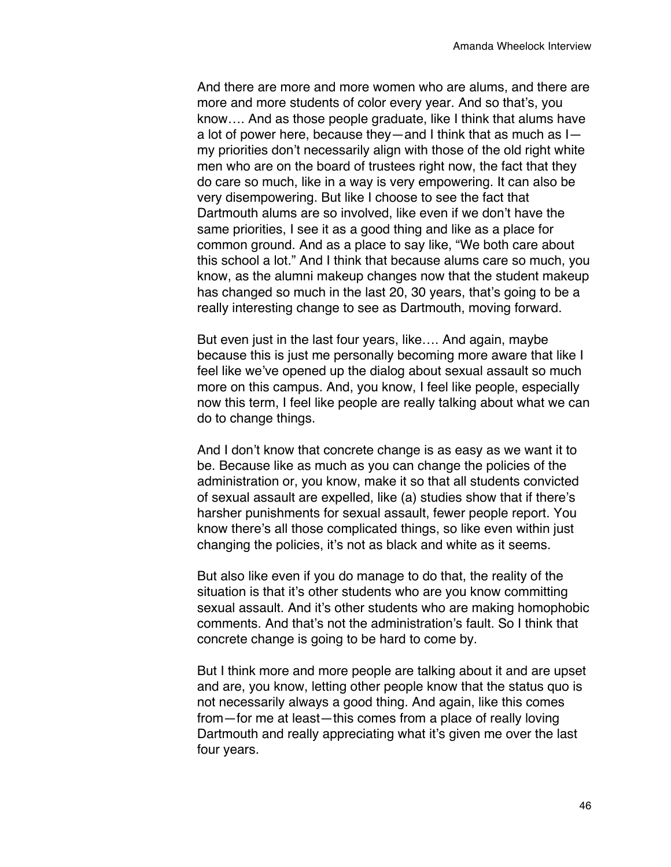And there are more and more women who are alums, and there are more and more students of color every year. And so that's, you know…. And as those people graduate, like I think that alums have a lot of power here, because they—and I think that as much as I my priorities don't necessarily align with those of the old right white men who are on the board of trustees right now, the fact that they do care so much, like in a way is very empowering. It can also be very disempowering. But like I choose to see the fact that Dartmouth alums are so involved, like even if we don't have the same priorities, I see it as a good thing and like as a place for common ground. And as a place to say like, "We both care about this school a lot." And I think that because alums care so much, you know, as the alumni makeup changes now that the student makeup has changed so much in the last 20, 30 years, that's going to be a really interesting change to see as Dartmouth, moving forward.

But even just in the last four years, like…. And again, maybe because this is just me personally becoming more aware that like I feel like we've opened up the dialog about sexual assault so much more on this campus. And, you know, I feel like people, especially now this term, I feel like people are really talking about what we can do to change things.

And I don't know that concrete change is as easy as we want it to be. Because like as much as you can change the policies of the administration or, you know, make it so that all students convicted of sexual assault are expelled, like (a) studies show that if there's harsher punishments for sexual assault, fewer people report. You know there's all those complicated things, so like even within just changing the policies, it's not as black and white as it seems.

But also like even if you do manage to do that, the reality of the situation is that it's other students who are you know committing sexual assault. And it's other students who are making homophobic comments. And that's not the administration's fault. So I think that concrete change is going to be hard to come by.

But I think more and more people are talking about it and are upset and are, you know, letting other people know that the status quo is not necessarily always a good thing. And again, like this comes from—for me at least—this comes from a place of really loving Dartmouth and really appreciating what it's given me over the last four years.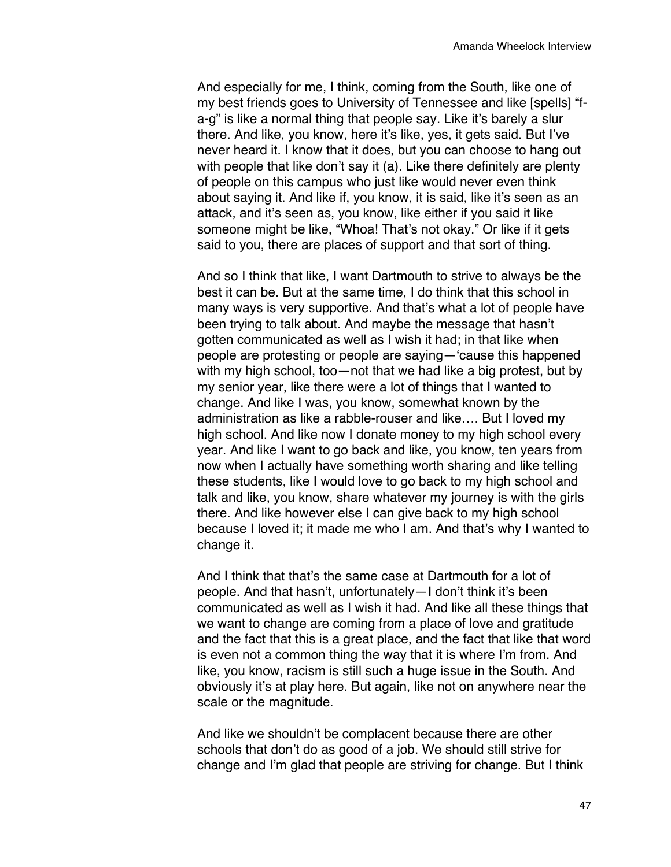And especially for me, I think, coming from the South, like one of my best friends goes to University of Tennessee and like [spells] "fa-g" is like a normal thing that people say. Like it's barely a slur there. And like, you know, here it's like, yes, it gets said. But I've never heard it. I know that it does, but you can choose to hang out with people that like don't say it (a). Like there definitely are plenty of people on this campus who just like would never even think about saying it. And like if, you know, it is said, like it's seen as an attack, and it's seen as, you know, like either if you said it like someone might be like, "Whoa! That's not okay." Or like if it gets said to you, there are places of support and that sort of thing.

And so I think that like, I want Dartmouth to strive to always be the best it can be. But at the same time, I do think that this school in many ways is very supportive. And that's what a lot of people have been trying to talk about. And maybe the message that hasn't gotten communicated as well as I wish it had; in that like when people are protesting or people are saying—'cause this happened with my high school, too—not that we had like a big protest, but by my senior year, like there were a lot of things that I wanted to change. And like I was, you know, somewhat known by the administration as like a rabble-rouser and like…. But I loved my high school. And like now I donate money to my high school every year. And like I want to go back and like, you know, ten years from now when I actually have something worth sharing and like telling these students, like I would love to go back to my high school and talk and like, you know, share whatever my journey is with the girls there. And like however else I can give back to my high school because I loved it; it made me who I am. And that's why I wanted to change it.

And I think that that's the same case at Dartmouth for a lot of people. And that hasn't, unfortunately—I don't think it's been communicated as well as I wish it had. And like all these things that we want to change are coming from a place of love and gratitude and the fact that this is a great place, and the fact that like that word is even not a common thing the way that it is where I'm from. And like, you know, racism is still such a huge issue in the South. And obviously it's at play here. But again, like not on anywhere near the scale or the magnitude.

And like we shouldn't be complacent because there are other schools that don't do as good of a job. We should still strive for change and I'm glad that people are striving for change. But I think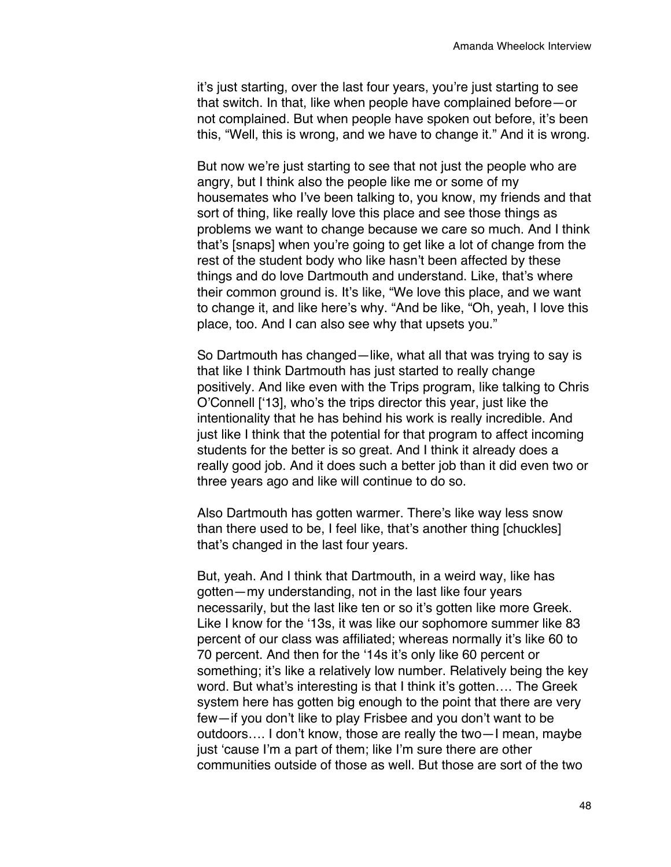it's just starting, over the last four years, you're just starting to see that switch. In that, like when people have complained before—or not complained. But when people have spoken out before, it's been this, "Well, this is wrong, and we have to change it." And it is wrong.

But now we're just starting to see that not just the people who are angry, but I think also the people like me or some of my housemates who I've been talking to, you know, my friends and that sort of thing, like really love this place and see those things as problems we want to change because we care so much. And I think that's [snaps] when you're going to get like a lot of change from the rest of the student body who like hasn't been affected by these things and do love Dartmouth and understand. Like, that's where their common ground is. It's like, "We love this place, and we want to change it, and like here's why. "And be like, "Oh, yeah, I love this place, too. And I can also see why that upsets you."

So Dartmouth has changed—like, what all that was trying to say is that like I think Dartmouth has just started to really change positively. And like even with the Trips program, like talking to Chris O'Connell ['13], who's the trips director this year, just like the intentionality that he has behind his work is really incredible. And just like I think that the potential for that program to affect incoming students for the better is so great. And I think it already does a really good job. And it does such a better job than it did even two or three years ago and like will continue to do so.

Also Dartmouth has gotten warmer. There's like way less snow than there used to be, I feel like, that's another thing [chuckles] that's changed in the last four years.

But, yeah. And I think that Dartmouth, in a weird way, like has gotten—my understanding, not in the last like four years necessarily, but the last like ten or so it's gotten like more Greek. Like I know for the '13s, it was like our sophomore summer like 83 percent of our class was affiliated; whereas normally it's like 60 to 70 percent. And then for the '14s it's only like 60 percent or something; it's like a relatively low number. Relatively being the key word. But what's interesting is that I think it's gotten…. The Greek system here has gotten big enough to the point that there are very few—if you don't like to play Frisbee and you don't want to be outdoors…. I don't know, those are really the two—I mean, maybe just 'cause I'm a part of them; like I'm sure there are other communities outside of those as well. But those are sort of the two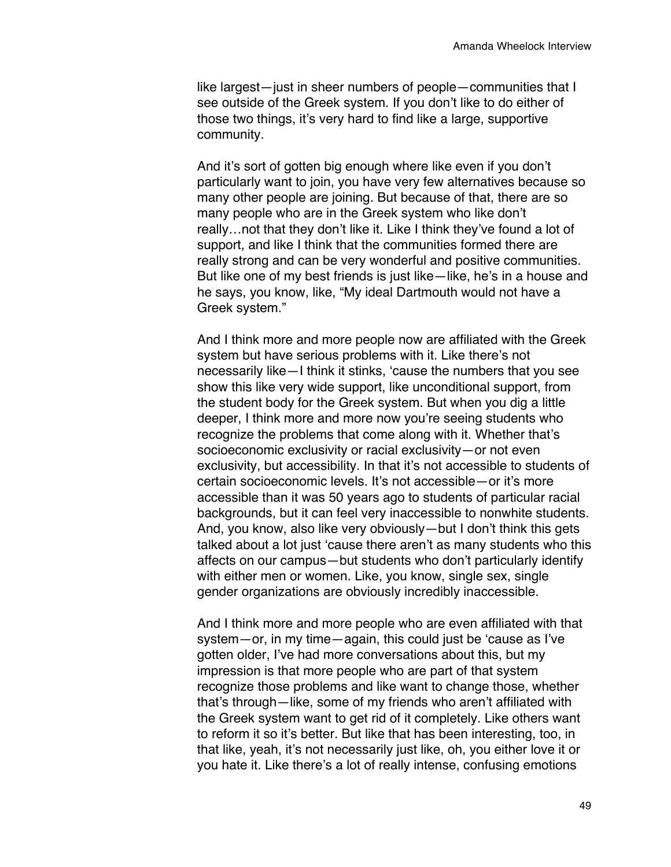like largest—just in sheer numbers of people—communities that I see outside of the Greek system. If you don't like to do either of those two things, it's very hard to find like a large, supportive community.

And it's sort of gotten big enough where like even if you don't particularly want to join, you have very few alternatives because so many other people are joining. But because of that, there are so many people who are in the Greek system who like don't really…not that they don't like it. Like I think they've found a lot of support, and like I think that the communities formed there are really strong and can be very wonderful and positive communities. But like one of my best friends is just like—like, he's in a house and he says, you know, like, "My ideal Dartmouth would not have a Greek system."

And I think more and more people now are affiliated with the Greek system but have serious problems with it. Like there's not necessarily like—I think it stinks, 'cause the numbers that you see show this like very wide support, like unconditional support, from the student body for the Greek system. But when you dig a little deeper, I think more and more now you're seeing students who recognize the problems that come along with it. Whether that's socioeconomic exclusivity or racial exclusivity—or not even exclusivity, but accessibility. In that it's not accessible to students of certain socioeconomic levels. It's not accessible—or it's more accessible than it was 50 years ago to students of particular racial backgrounds, but it can feel very inaccessible to nonwhite students. And, you know, also like very obviously—but I don't think this gets talked about a lot just 'cause there aren't as many students who this affects on our campus—but students who don't particularly identify with either men or women. Like, you know, single sex, single gender organizations are obviously incredibly inaccessible.

And I think more and more people who are even affiliated with that system—or, in my time—again, this could just be 'cause as I've gotten older, I've had more conversations about this, but my impression is that more people who are part of that system recognize those problems and like want to change those, whether that's through—like, some of my friends who aren't affiliated with the Greek system want to get rid of it completely. Like others want to reform it so it's better. But like that has been interesting, too, in that like, yeah, it's not necessarily just like, oh, you either love it or you hate it. Like there's a lot of really intense, confusing emotions